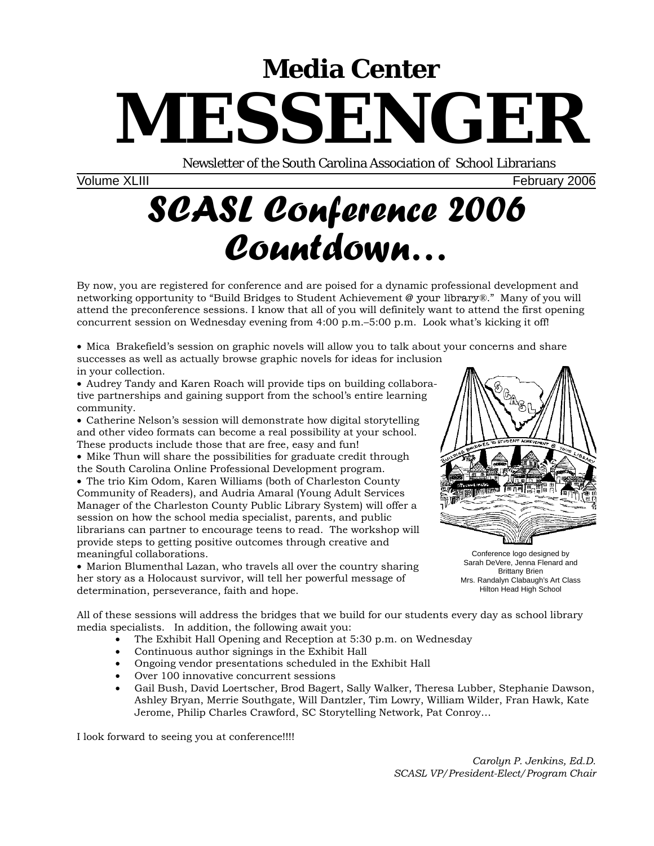# **Media Center MESSENGER**

Newsletter of the South Carolina Association of School Librarians

Volume XLIII February 2006

# *SCASL Conference 2006 Countdown…*

By now, you are registered for conference and are poised for a dynamic professional development and networking opportunity to "Build Bridges to Student Achievement @ your library®." Many of you will attend the preconference sessions. I know that all of you will definitely want to attend the first opening concurrent session on Wednesday evening from 4:00 p.m.–5:00 p.m. Look what's kicking it off!

• Mica Brakefield's session on graphic novels will allow you to talk about your concerns and share successes as well as actually browse graphic novels for ideas for inclusion in your collection.

• Audrey Tandy and Karen Roach will provide tips on building collaborative partnerships and gaining support from the school's entire learning community.

• Catherine Nelson's session will demonstrate how digital storytelling and other video formats can become a real possibility at your school. These products include those that are free, easy and fun!

• Mike Thun will share the possibilities for graduate credit through the South Carolina Online Professional Development program.

• The trio Kim Odom, Karen Williams (both of Charleston County Community of Readers), and Audria Amaral (Young Adult Services Manager of the Charleston County Public Library System) will offer a session on how the school media specialist, parents, and public librarians can partner to encourage teens to read. The workshop will provide steps to getting positive outcomes through creative and meaningful collaborations.

• Marion Blumenthal Lazan, who travels all over the country sharing her story as a Holocaust survivor, will tell her powerful message of determination, perseverance, faith and hope.



Conference logo designed by Sarah DeVere, Jenna Flenard and Brittany Brien Mrs. Randalyn Clabaugh's Art Class Hilton Head High School

All of these sessions will address the bridges that we build for our students every day as school library media specialists. In addition, the following await you:

- The Exhibit Hall Opening and Reception at 5:30 p.m. on Wednesday
- Continuous author signings in the Exhibit Hall
- Ongoing vendor presentations scheduled in the Exhibit Hall
- Over 100 innovative concurrent sessions
- Gail Bush, David Loertscher, Brod Bagert, Sally Walker, Theresa Lubber, Stephanie Dawson, Ashley Bryan, Merrie Southgate, Will Dantzler, Tim Lowry, William Wilder, Fran Hawk, Kate Jerome, Philip Charles Crawford, SC Storytelling Network, Pat Conroy…

I look forward to seeing you at conference!!!!

*Carolyn P. Jenkins, Ed.D. SCASL VP/President-Elect/Program Chair*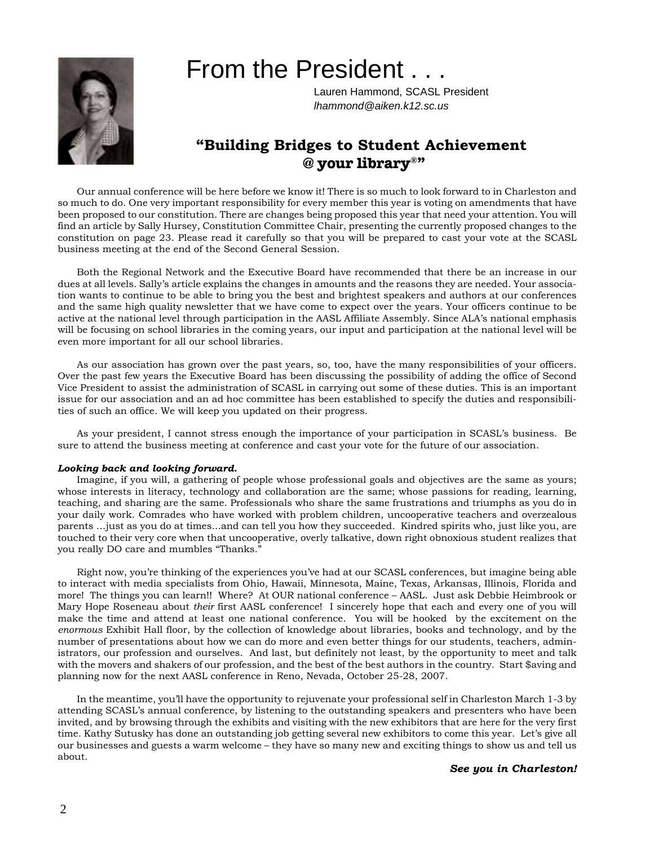

# From the President . . .

Lauren Hammond, SCASL President *lhammond@aiken.k12.sc.us*

### **"Building Bridges to Student Achievement @ your library®"**

Our annual conference will be here before we know it! There is so much to look forward to in Charleston and so much to do. One very important responsibility for every member this year is voting on amendments that have been proposed to our constitution. There are changes being proposed this year that need your attention. You will find an article by Sally Hursey, Constitution Committee Chair, presenting the currently proposed changes to the constitution on page 23. Please read it carefully so that you will be prepared to cast your vote at the SCASL business meeting at the end of the Second General Session.

Both the Regional Network and the Executive Board have recommended that there be an increase in our dues at all levels. Sally's article explains the changes in amounts and the reasons they are needed. Your association wants to continue to be able to bring you the best and brightest speakers and authors at our conferences and the same high quality newsletter that we have come to expect over the years. Your officers continue to be active at the national level through participation in the AASL Affiliate Assembly. Since ALA's national emphasis will be focusing on school libraries in the coming years, our input and participation at the national level will be even more important for all our school libraries.

As our association has grown over the past years, so, too, have the many responsibilities of your officers. Over the past few years the Executive Board has been discussing the possibility of adding the office of Second Vice President to assist the administration of SCASL in carrying out some of these duties. This is an important issue for our association and an ad hoc committee has been established to specify the duties and responsibilities of such an office. We will keep you updated on their progress.

As your president, I cannot stress enough the importance of your participation in SCASL's business. Be sure to attend the business meeting at conference and cast your vote for the future of our association.

#### *Looking back and looking forward.*

Imagine, if you will, a gathering of people whose professional goals and objectives are the same as yours; whose interests in literacy, technology and collaboration are the same; whose passions for reading, learning, teaching, and sharing are the same. Professionals who share the same frustrations and triumphs as you do in your daily work. Comrades who have worked with problem children, uncooperative teachers and overzealous parents …just as you do at times...and can tell you how they succeeded. Kindred spirits who, just like you, are touched to their very core when that uncooperative, overly talkative, down right obnoxious student realizes that you really DO care and mumbles "Thanks."

Right now, you're thinking of the experiences you've had at our SCASL conferences, but imagine being able to interact with media specialists from Ohio, Hawaii, Minnesota, Maine, Texas, Arkansas, Illinois, Florida and more! The things you can learn!! Where? At OUR national conference – AASL. Just ask Debbie Heimbrook or Mary Hope Roseneau about *their* first AASL conference! I sincerely hope that each and every one of you will make the time and attend at least one national conference. You will be hooked by the excitement on the *enormous* Exhibit Hall floor, by the collection of knowledge about libraries, books and technology, and by the number of presentations about how we can do more and even better things for our students, teachers, administrators, our profession and ourselves. And last, but definitely not least, by the opportunity to meet and talk with the movers and shakers of our profession, and the best of the best authors in the country. Start \$aving and planning now for the next AASL conference in Reno, Nevada, October 25-28, 2007.

In the meantime, you'll have the opportunity to rejuvenate your professional self in Charleston March 1-3 by attending SCASL's annual conference, by listening to the outstanding speakers and presenters who have been invited, and by browsing through the exhibits and visiting with the new exhibitors that are here for the very first time. Kathy Sutusky has done an outstanding job getting several new exhibitors to come this year. Let's give all our businesses and guests a warm welcome – they have so many new and exciting things to show us and tell us about.

*See you in Charleston!*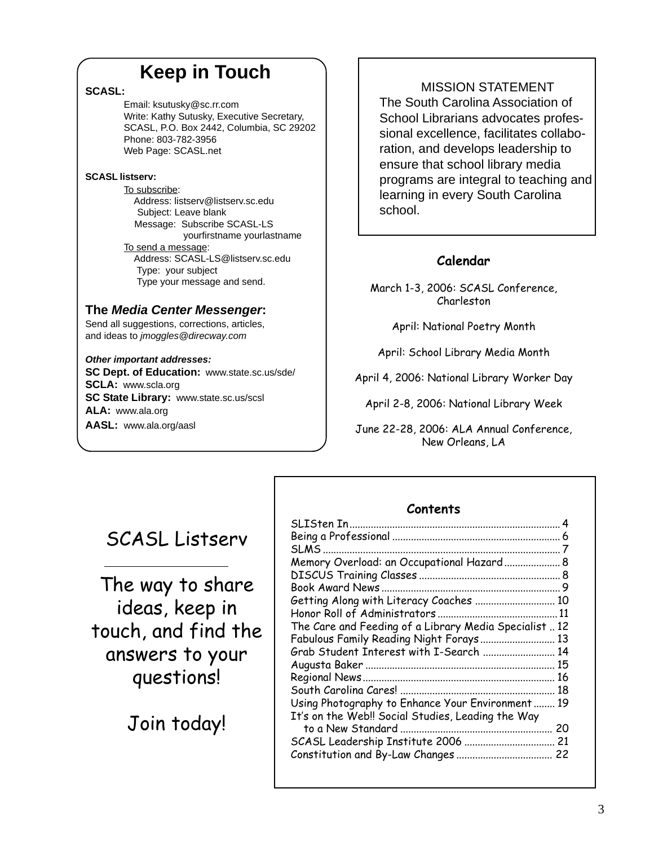# **Keep in Touch**

#### **SCASL:**

Email: ksutusky@sc.rr.com Write: Kathy Sutusky, Executive Secretary, SCASL, P.O. Box 2442, Columbia, SC 29202 Phone: 803-782-3956 Web Page: SCASL.net

#### **SCASL listserv:**

To subscribe: Address: listserv@listserv.sc.edu Subject: Leave blank Message: Subscribe SCASL-LS yourfirstname yourlastname To send a message: Address: SCASL-LS@listserv.sc.edu Type: your subject Type your message and send.

### **The** *Media Center Messenger***:**

Send all suggestions, corrections, articles, and ideas to *jmoggles@direcway.com*

#### *Other important addresses:*

**SC Dept. of Education:** www.state.sc.us/sde/ **SCLA:** www.scla.org **SC State Library:** www.state.sc.us/scsl **ALA:** www.ala.org **AASL:** www.ala.org/aasl

### MISSION STATEMENT

The South Carolina Association of School Librarians advocates professional excellence, facilitates collaboration, and develops leadership to ensure that school library media programs are integral to teaching and learning in every South Carolina school.

### **Calendar**

March 1-3, 2006: SCASL Conference, Charleston

April: National Poetry Month

April: School Library Media Month

April 4, 2006: National Library Worker Day

April 2-8, 2006: National Library Week

June 22-28, 2006: ALA Annual Conference, New Orleans, LA

## SCASL Listserv

The way to share ideas, keep in touch, and find the answers to your questions!

Join today!

#### **Contents** SLISten In............................................................................... 4 Being a Professional ............................................................... 6 SLMS ......................................................................................... 7 Memory Overload: an Occupational Hazard..................... 8 DISCUS Training Classes ..................................................... 8 Book Award News ................................................................... 9 Getting Along with Literacy Coaches .............................. 10 Honor Roll of Administrators ............................................. 11 The Care and Feeding of a Library Media Specialist .. 12 Fabulous Family Reading Night Forays............................ 13 Grab Student Interest with I-Search ........................... 14 Augusta Baker ....................................................................... 15 Regional News........................................................................ 16 South Carolina Cares! .......................................................... 18 Using Photography to Enhance Your Environment ........ 19 It's on the Web!! Social Studies, Leading the Way to a New Standard ......................................................... 20 SCASL Leadership Institute 2006 .................................. 21 Constitution and By-Law Changes .................................... 22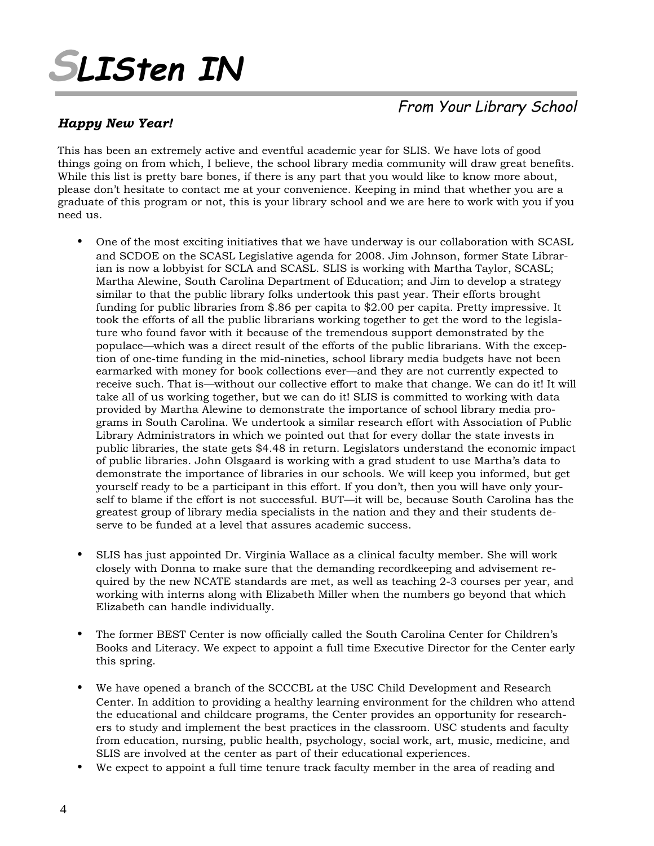# **SLISten IN**

### *Happy New Year!*

### From Your Library School

This has been an extremely active and eventful academic year for SLIS. We have lots of good things going on from which, I believe, the school library media community will draw great benefits. While this list is pretty bare bones, if there is any part that you would like to know more about, please don't hesitate to contact me at your convenience. Keeping in mind that whether you are a graduate of this program or not, this is your library school and we are here to work with you if you need us.

- One of the most exciting initiatives that we have underway is our collaboration with SCASL and SCDOE on the SCASL Legislative agenda for 2008. Jim Johnson, former State Librarian is now a lobbyist for SCLA and SCASL. SLIS is working with Martha Taylor, SCASL; Martha Alewine, South Carolina Department of Education; and Jim to develop a strategy similar to that the public library folks undertook this past year. Their efforts brought funding for public libraries from \$.86 per capita to \$2.00 per capita. Pretty impressive. It took the efforts of all the public librarians working together to get the word to the legislature who found favor with it because of the tremendous support demonstrated by the populace—which was a direct result of the efforts of the public librarians. With the exception of one-time funding in the mid-nineties, school library media budgets have not been earmarked with money for book collections ever—and they are not currently expected to receive such. That is—without our collective effort to make that change. We can do it! It will take all of us working together, but we can do it! SLIS is committed to working with data provided by Martha Alewine to demonstrate the importance of school library media programs in South Carolina. We undertook a similar research effort with Association of Public Library Administrators in which we pointed out that for every dollar the state invests in public libraries, the state gets \$4.48 in return. Legislators understand the economic impact of public libraries. John Olsgaard is working with a grad student to use Martha's data to demonstrate the importance of libraries in our schools. We will keep you informed, but get yourself ready to be a participant in this effort. If you don't, then you will have only yourself to blame if the effort is not successful. BUT—it will be, because South Carolina has the greatest group of library media specialists in the nation and they and their students deserve to be funded at a level that assures academic success.
- SLIS has just appointed Dr. Virginia Wallace as a clinical faculty member. She will work closely with Donna to make sure that the demanding recordkeeping and advisement required by the new NCATE standards are met, as well as teaching 2-3 courses per year, and working with interns along with Elizabeth Miller when the numbers go beyond that which Elizabeth can handle individually.
- The former BEST Center is now officially called the South Carolina Center for Children's Books and Literacy. We expect to appoint a full time Executive Director for the Center early this spring.
- We have opened a branch of the SCCCBL at the USC Child Development and Research Center. In addition to providing a healthy learning environment for the children who attend the educational and childcare programs, the Center provides an opportunity for researchers to study and implement the best practices in the classroom. USC students and faculty from education, nursing, public health, psychology, social work, art, music, medicine, and SLIS are involved at the center as part of their educational experiences.
- We expect to appoint a full time tenure track faculty member in the area of reading and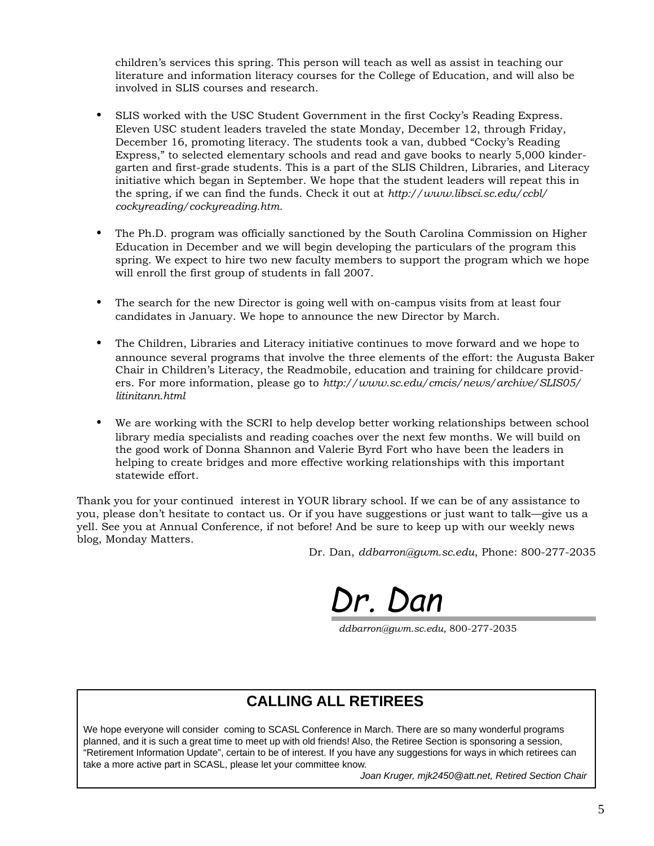children's services this spring. This person will teach as well as assist in teaching our literature and information literacy courses for the College of Education, and will also be involved in SLIS courses and research.

- SLIS worked with the USC Student Government in the first Cocky's Reading Express. Eleven USC student leaders traveled the state Monday, December 12, through Friday, December 16, promoting literacy. The students took a van, dubbed "Cocky's Reading Express," to selected elementary schools and read and gave books to nearly 5,000 kindergarten and first-grade students. This is a part of the SLIS Children, Libraries, and Literacy initiative which began in September. We hope that the student leaders will repeat this in the spring, if we can find the funds. Check it out at *http://www.libsci.sc.edu/ccbl/ cockyreading/cockyreading.htm.*
- The Ph.D. program was officially sanctioned by the South Carolina Commission on Higher Education in December and we will begin developing the particulars of the program this spring. We expect to hire two new faculty members to support the program which we hope will enroll the first group of students in fall 2007.
- The search for the new Director is going well with on-campus visits from at least four candidates in January. We hope to announce the new Director by March.
- The Children, Libraries and Literacy initiative continues to move forward and we hope to announce several programs that involve the three elements of the effort: the Augusta Baker Chair in Children's Literacy, the Readmobile, education and training for childcare providers. For more information, please go to *http://www.sc.edu/cmcis/news/archive/SLIS05/ litinitann.html*
- We are working with the SCRI to help develop better working relationships between school library media specialists and reading coaches over the next few months. We will build on the good work of Donna Shannon and Valerie Byrd Fort who have been the leaders in helping to create bridges and more effective working relationships with this important statewide effort.

Thank you for your continued interest in YOUR library school. If we can be of any assistance to you, please don't hesitate to contact us. Or if you have suggestions or just want to talk—give us a yell. See you at Annual Conference, if not before! And be sure to keep up with our weekly news blog, Monday Matters.

Dr. Dan, *ddbarron@gwm.sc.edu*, Phone: 800-277-2035

Dr. Dan

*ddbarron@gwm.sc.edu,* 800-277-2035

### **CALLING ALL RETIREES**

We hope everyone will consider coming to SCASL Conference in March. There are so many wonderful programs planned, and it is such a great time to meet up with old friends! Also, the Retiree Section is sponsoring a session, "Retirement Information Update", certain to be of interest. If you have any suggestions for ways in which retirees can take a more active part in SCASL, please let your committee know.

*Joan Kruger, mjk2450@att.net, Retired Section Chair*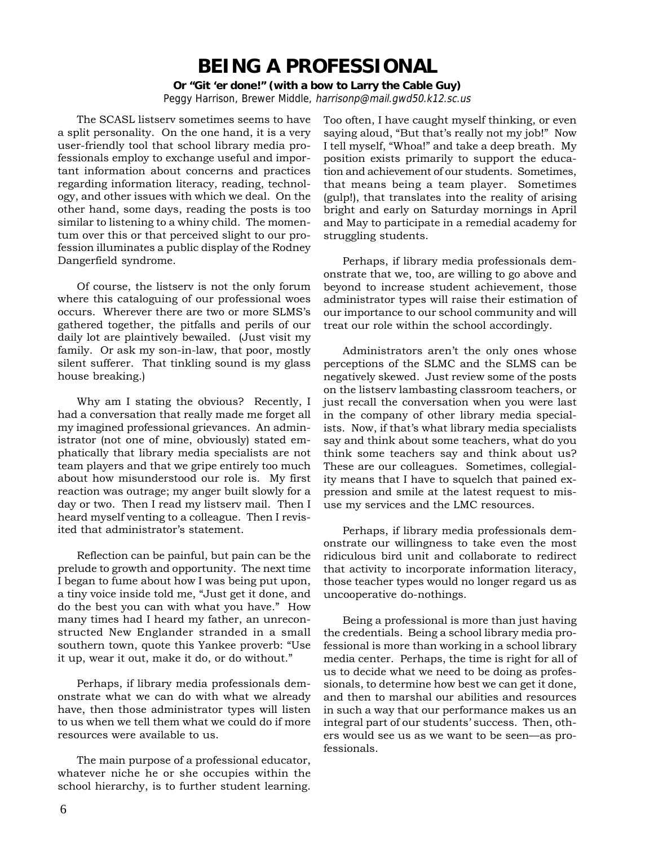## **BEING A PROFESSIONAL**

**Or "Git 'er done!" (with a bow to Larry the Cable Guy)** Peggy Harrison, Brewer Middle, harrisonp@mail.gwd50.k12.sc.us

The SCASL listserv sometimes seems to have a split personality. On the one hand, it is a very user-friendly tool that school library media professionals employ to exchange useful and important information about concerns and practices regarding information literacy, reading, technology, and other issues with which we deal. On the other hand, some days, reading the posts is too similar to listening to a whiny child. The momentum over this or that perceived slight to our profession illuminates a public display of the Rodney Dangerfield syndrome.

Of course, the listserv is not the only forum where this cataloguing of our professional woes occurs. Wherever there are two or more SLMS's gathered together, the pitfalls and perils of our daily lot are plaintively bewailed. (Just visit my family. Or ask my son-in-law, that poor, mostly silent sufferer. That tinkling sound is my glass house breaking.)

Why am I stating the obvious? Recently, I had a conversation that really made me forget all my imagined professional grievances. An administrator (not one of mine, obviously) stated emphatically that library media specialists are not team players and that we gripe entirely too much about how misunderstood our role is. My first reaction was outrage; my anger built slowly for a day or two. Then I read my listserv mail. Then I heard myself venting to a colleague. Then I revisited that administrator's statement.

Reflection can be painful, but pain can be the prelude to growth and opportunity. The next time I began to fume about how I was being put upon, a tiny voice inside told me, "Just get it done, and do the best you can with what you have." How many times had I heard my father, an unreconstructed New Englander stranded in a small southern town, quote this Yankee proverb: "Use it up, wear it out, make it do, or do without."

Perhaps, if library media professionals demonstrate what we can do with what we already have, then those administrator types will listen to us when we tell them what we could do if more resources were available to us.

The main purpose of a professional educator, whatever niche he or she occupies within the school hierarchy, is to further student learning.

Too often, I have caught myself thinking, or even saying aloud, "But that's really not my job!" Now I tell myself, "Whoa!" and take a deep breath. My position exists primarily to support the education and achievement of our students. Sometimes, that means being a team player. Sometimes (gulp!), that translates into the reality of arising bright and early on Saturday mornings in April and May to participate in a remedial academy for struggling students.

Perhaps, if library media professionals demonstrate that we, too, are willing to go above and beyond to increase student achievement, those administrator types will raise their estimation of our importance to our school community and will treat our role within the school accordingly.

Administrators aren't the only ones whose perceptions of the SLMC and the SLMS can be negatively skewed. Just review some of the posts on the listserv lambasting classroom teachers, or just recall the conversation when you were last in the company of other library media specialists. Now, if that's what library media specialists say and think about some teachers, what do you think some teachers say and think about us? These are our colleagues. Sometimes, collegiality means that I have to squelch that pained expression and smile at the latest request to misuse my services and the LMC resources.

Perhaps, if library media professionals demonstrate our willingness to take even the most ridiculous bird unit and collaborate to redirect that activity to incorporate information literacy, those teacher types would no longer regard us as uncooperative do-nothings.

Being a professional is more than just having the credentials. Being a school library media professional is more than working in a school library media center. Perhaps, the time is right for all of us to decide what we need to be doing as professionals, to determine how best we can get it done, and then to marshal our abilities and resources in such a way that our performance makes us an integral part of our students' success. Then, others would see us as we want to be seen—as professionals.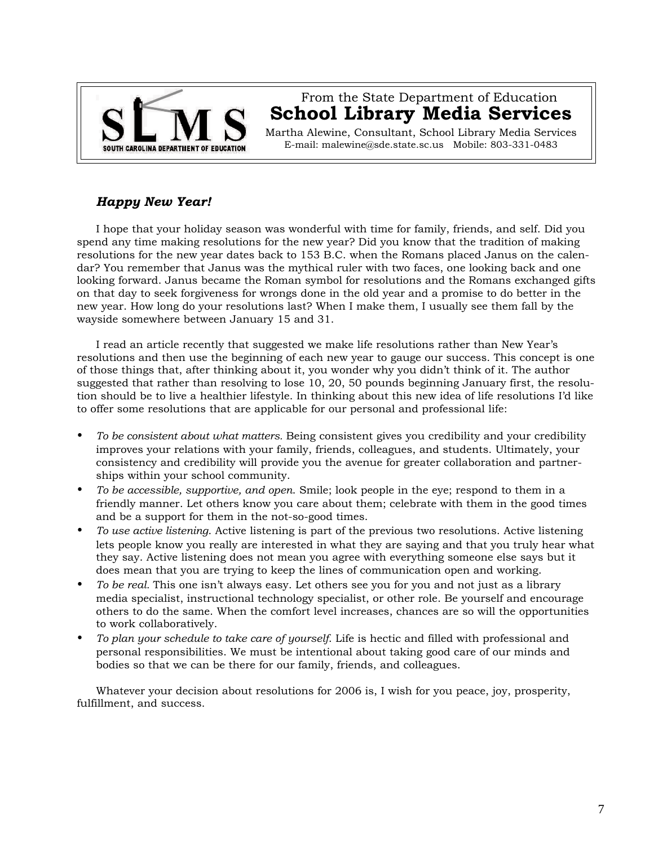

### From the State Department of Education **School Library Media Services**

Martha Alewine, Consultant, School Library Media Services E-mail: malewine@sde.state.sc.us Mobile: 803-331-0483

### *Happy New Year!*

I hope that your holiday season was wonderful with time for family, friends, and self. Did you spend any time making resolutions for the new year? Did you know that the tradition of making resolutions for the new year dates back to 153 B.C. when the Romans placed Janus on the calendar? You remember that Janus was the mythical ruler with two faces, one looking back and one looking forward. Janus became the Roman symbol for resolutions and the Romans exchanged gifts on that day to seek forgiveness for wrongs done in the old year and a promise to do better in the new year. How long do your resolutions last? When I make them, I usually see them fall by the wayside somewhere between January 15 and 31.

I read an article recently that suggested we make life resolutions rather than New Year's resolutions and then use the beginning of each new year to gauge our success. This concept is one of those things that, after thinking about it, you wonder why you didn't think of it. The author suggested that rather than resolving to lose 10, 20, 50 pounds beginning January first, the resolution should be to live a healthier lifestyle. In thinking about this new idea of life resolutions I'd like to offer some resolutions that are applicable for our personal and professional life:

- *To be consistent about what matters.* Being consistent gives you credibility and your credibility improves your relations with your family, friends, colleagues, and students. Ultimately, your consistency and credibility will provide you the avenue for greater collaboration and partnerships within your school community.
- *To be accessible, supportive, and open*. Smile; look people in the eye; respond to them in a friendly manner. Let others know you care about them; celebrate with them in the good times and be a support for them in the not-so-good times.
- *To use active listening*. Active listening is part of the previous two resolutions. Active listening lets people know you really are interested in what they are saying and that you truly hear what they say. Active listening does not mean you agree with everything someone else says but it does mean that you are trying to keep the lines of communication open and working.
- *To be real.* This one isn't always easy. Let others see you for you and not just as a library media specialist, instructional technology specialist, or other role. Be yourself and encourage others to do the same. When the comfort level increases, chances are so will the opportunities to work collaboratively.
- *To plan your schedule to take care of yourself*. Life is hectic and filled with professional and personal responsibilities. We must be intentional about taking good care of our minds and bodies so that we can be there for our family, friends, and colleagues.

Whatever your decision about resolutions for 2006 is, I wish for you peace, joy, prosperity, fulfillment, and success.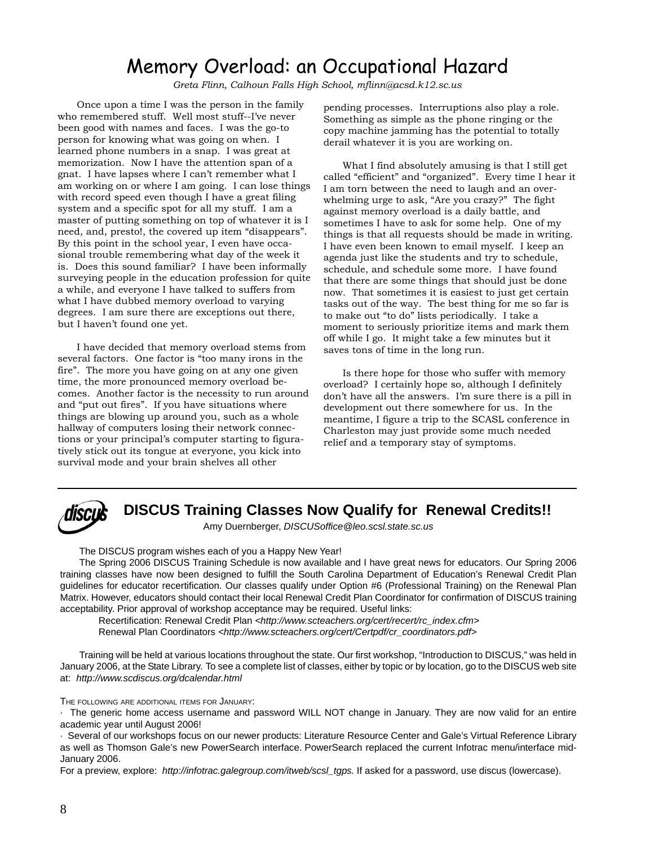# Memory Overload: an Occupational Hazard

*Greta Flinn, Calhoun Falls High School, mflinn@acsd.k12.sc.us*

Once upon a time I was the person in the family who remembered stuff. Well most stuff--I've never been good with names and faces. I was the go-to person for knowing what was going on when. I learned phone numbers in a snap. I was great at memorization. Now I have the attention span of a gnat. I have lapses where I can't remember what I am working on or where I am going. I can lose things with record speed even though I have a great filing system and a specific spot for all my stuff. I am a master of putting something on top of whatever it is I need, and, presto!, the covered up item "disappears". By this point in the school year, I even have occasional trouble remembering what day of the week it is. Does this sound familiar? I have been informally surveying people in the education profession for quite a while, and everyone I have talked to suffers from what I have dubbed memory overload to varying degrees. I am sure there are exceptions out there, but I haven't found one yet.

I have decided that memory overload stems from several factors. One factor is "too many irons in the fire". The more you have going on at any one given time, the more pronounced memory overload becomes. Another factor is the necessity to run around and "put out fires". If you have situations where things are blowing up around you, such as a whole hallway of computers losing their network connections or your principal's computer starting to figuratively stick out its tongue at everyone, you kick into survival mode and your brain shelves all other

pending processes. Interruptions also play a role. Something as simple as the phone ringing or the copy machine jamming has the potential to totally derail whatever it is you are working on.

What I find absolutely amusing is that I still get called "efficient" and "organized". Every time I hear it I am torn between the need to laugh and an overwhelming urge to ask, "Are you crazy?" The fight against memory overload is a daily battle, and sometimes I have to ask for some help. One of my things is that all requests should be made in writing. I have even been known to email myself. I keep an agenda just like the students and try to schedule, schedule, and schedule some more. I have found that there are some things that should just be done now. That sometimes it is easiest to just get certain tasks out of the way. The best thing for me so far is to make out "to do" lists periodically. I take a moment to seriously prioritize items and mark them off while I go. It might take a few minutes but it saves tons of time in the long run.

Is there hope for those who suffer with memory overload? I certainly hope so, although I definitely don't have all the answers. I'm sure there is a pill in development out there somewhere for us. In the meantime, I figure a trip to the SCASL conference in Charleston may just provide some much needed relief and a temporary stay of symptoms.



**DISCUS Training Classes Now Qualify for Renewal Credits!!**

Amy Duernberger, *DISCUSoffice@leo.scsl.state.sc.us*

The DISCUS program wishes each of you a Happy New Year!

The Spring 2006 DISCUS Training Schedule is now available and I have great news for educators. Our Spring 2006 training classes have now been designed to fulfill the South Carolina Department of Education's Renewal Credit Plan guidelines for educator recertification. Our classes qualify under Option #6 (Professional Training) on the Renewal Plan Matrix. However, educators should contact their local Renewal Credit Plan Coordinator for confirmation of DISCUS training acceptability. Prior approval of workshop acceptance may be required. Useful links:

Recertification: Renewal Credit Plan *<http://www.scteachers.org/cert/recert/rc\_index.cfm>* Renewal Plan Coordinators *<http://www.scteachers.org/cert/Certpdf/cr\_coordinators.pdf>*

Training will be held at various locations throughout the state. Our first workshop, "Introduction to DISCUS," was held in January 2006, at the State Library. To see a complete list of classes, either by topic or by location, go to the DISCUS web site at: *http://www.scdiscus.org/dcalendar.html*

THE FOLLOWING ARE ADDITIONAL ITEMS FOR JANUARY:

· The generic home access username and password WILL NOT change in January. They are now valid for an entire academic year until August 2006!

· Several of our workshops focus on our newer products: Literature Resource Center and Gale's Virtual Reference Library as well as Thomson Gale's new PowerSearch interface. PowerSearch replaced the current Infotrac menu/interface mid-January 2006.

For a preview, explore: *http://infotrac.galegroup.com/itweb/scsl\_tgps.* If asked for a password, use discus (lowercase).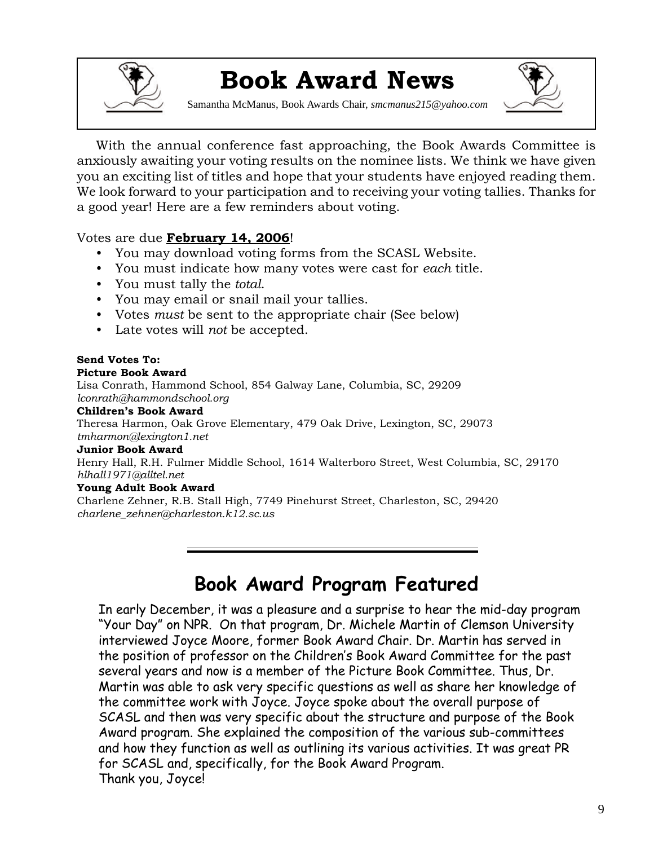

# **Book Award News**

Samantha McManus, Book Awards Chair, *smcmanus215@yahoo.com*



With the annual conference fast approaching, the Book Awards Committee is anxiously awaiting your voting results on the nominee lists. We think we have given you an exciting list of titles and hope that your students have enjoyed reading them. We look forward to your participation and to receiving your voting tallies. Thanks for a good year! Here are a few reminders about voting.

### Votes are due **February 14, 2006**!

- You may download voting forms from the SCASL Website.
- You must indicate how many votes were cast for *each* title.
- You must tally the *total*.
- You may email or snail mail your tallies.
- Votes *must* be sent to the appropriate chair (See below)
- Late votes will *not* be accepted.

#### **Send Votes To: Picture Book Award**

Lisa Conrath, Hammond School, 854 Galway Lane, Columbia, SC, 29209 *lconrath@hammondschool.org*

#### **Children's Book Award**

Theresa Harmon, Oak Grove Elementary, 479 Oak Drive, Lexington, SC, 29073 *tmharmon@lexington1.net*

#### **Junior Book Award**

Henry Hall, R.H. Fulmer Middle School, 1614 Walterboro Street, West Columbia, SC, 29170 *hlhall1971@alltel.net*

### **Young Adult Book Award**

Charlene Zehner, R.B. Stall High, 7749 Pinehurst Street, Charleston, SC, 29420 *charlene\_zehner@charleston.k12.sc.us*

# **Book Award Program Featured**

In early December, it was a pleasure and a surprise to hear the mid-day program "Your Day" on NPR. On that program, Dr. Michele Martin of Clemson University interviewed Joyce Moore, former Book Award Chair. Dr. Martin has served in the position of professor on the Children's Book Award Committee for the past several years and now is a member of the Picture Book Committee. Thus, Dr. Martin was able to ask very specific questions as well as share her knowledge of the committee work with Joyce. Joyce spoke about the overall purpose of SCASL and then was very specific about the structure and purpose of the Book Award program. She explained the composition of the various sub-committees and how they function as well as outlining its various activities. It was great PR for SCASL and, specifically, for the Book Award Program. Thank you, Joyce!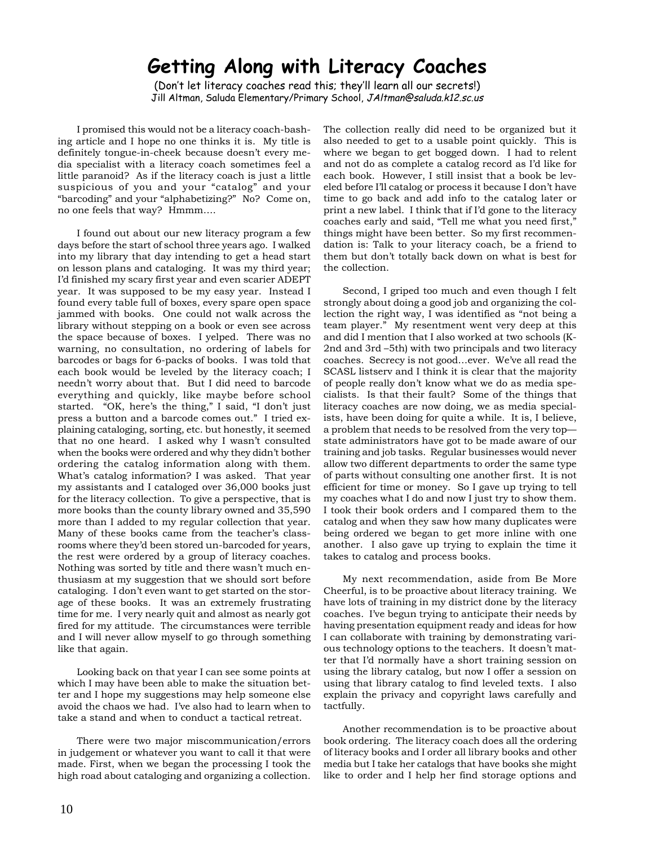# **Getting Along with Literacy Coaches**

(Don't let literacy coaches read this; they'll learn all our secrets!) Jill Altman, Saluda Elementary/Primary School, JAltman@saluda.k12.sc.us

I promised this would not be a literacy coach-bashing article and I hope no one thinks it is. My title is definitely tongue-in-cheek because doesn't every media specialist with a literacy coach sometimes feel a little paranoid? As if the literacy coach is just a little suspicious of you and your "catalog" and your "barcoding" and your "alphabetizing?" No? Come on, no one feels that way? Hmmm….

I found out about our new literacy program a few days before the start of school three years ago. I walked into my library that day intending to get a head start on lesson plans and cataloging. It was my third year; I'd finished my scary first year and even scarier ADEPT year. It was supposed to be my easy year. Instead I found every table full of boxes, every spare open space jammed with books. One could not walk across the library without stepping on a book or even see across the space because of boxes. I yelped. There was no warning, no consultation, no ordering of labels for barcodes or bags for 6-packs of books. I was told that each book would be leveled by the literacy coach; I needn't worry about that. But I did need to barcode everything and quickly, like maybe before school started. "OK, here's the thing," I said, "I don't just press a button and a barcode comes out." I tried explaining cataloging, sorting, etc. but honestly, it seemed that no one heard. I asked why I wasn't consulted when the books were ordered and why they didn't bother ordering the catalog information along with them. What's catalog information? I was asked. That year my assistants and I cataloged over 36,000 books just for the literacy collection. To give a perspective, that is more books than the county library owned and 35,590 more than I added to my regular collection that year. Many of these books came from the teacher's classrooms where they'd been stored un-barcoded for years, the rest were ordered by a group of literacy coaches. Nothing was sorted by title and there wasn't much enthusiasm at my suggestion that we should sort before cataloging. I don't even want to get started on the storage of these books. It was an extremely frustrating time for me. I very nearly quit and almost as nearly got fired for my attitude. The circumstances were terrible and I will never allow myself to go through something like that again.

Looking back on that year I can see some points at which I may have been able to make the situation better and I hope my suggestions may help someone else avoid the chaos we had. I've also had to learn when to take a stand and when to conduct a tactical retreat.

There were two major miscommunication/errors in judgement or whatever you want to call it that were made. First, when we began the processing I took the high road about cataloging and organizing a collection.

The collection really did need to be organized but it also needed to get to a usable point quickly. This is where we began to get bogged down. I had to relent and not do as complete a catalog record as I'd like for each book. However, I still insist that a book be leveled before I'll catalog or process it because I don't have time to go back and add info to the catalog later or print a new label. I think that if I'd gone to the literacy coaches early and said, "Tell me what you need first," things might have been better. So my first recommendation is: Talk to your literacy coach, be a friend to them but don't totally back down on what is best for the collection.

Second, I griped too much and even though I felt strongly about doing a good job and organizing the collection the right way, I was identified as "not being a team player." My resentment went very deep at this and did I mention that I also worked at two schools (K-2nd and 3rd –5th) with two principals and two literacy coaches. Secrecy is not good…ever. We've all read the SCASL listserv and I think it is clear that the majority of people really don't know what we do as media specialists. Is that their fault? Some of the things that literacy coaches are now doing, we as media specialists, have been doing for quite a while. It is, I believe, a problem that needs to be resolved from the very top state administrators have got to be made aware of our training and job tasks. Regular businesses would never allow two different departments to order the same type of parts without consulting one another first. It is not efficient for time or money. So I gave up trying to tell my coaches what I do and now I just try to show them. I took their book orders and I compared them to the catalog and when they saw how many duplicates were being ordered we began to get more inline with one another. I also gave up trying to explain the time it takes to catalog and process books.

My next recommendation, aside from Be More Cheerful, is to be proactive about literacy training. We have lots of training in my district done by the literacy coaches. I've begun trying to anticipate their needs by having presentation equipment ready and ideas for how I can collaborate with training by demonstrating various technology options to the teachers. It doesn't matter that I'd normally have a short training session on using the library catalog, but now I offer a session on using that library catalog to find leveled texts. I also explain the privacy and copyright laws carefully and tactfully.

Another recommendation is to be proactive about book ordering. The literacy coach does all the ordering of literacy books and I order all library books and other media but I take her catalogs that have books she might like to order and I help her find storage options and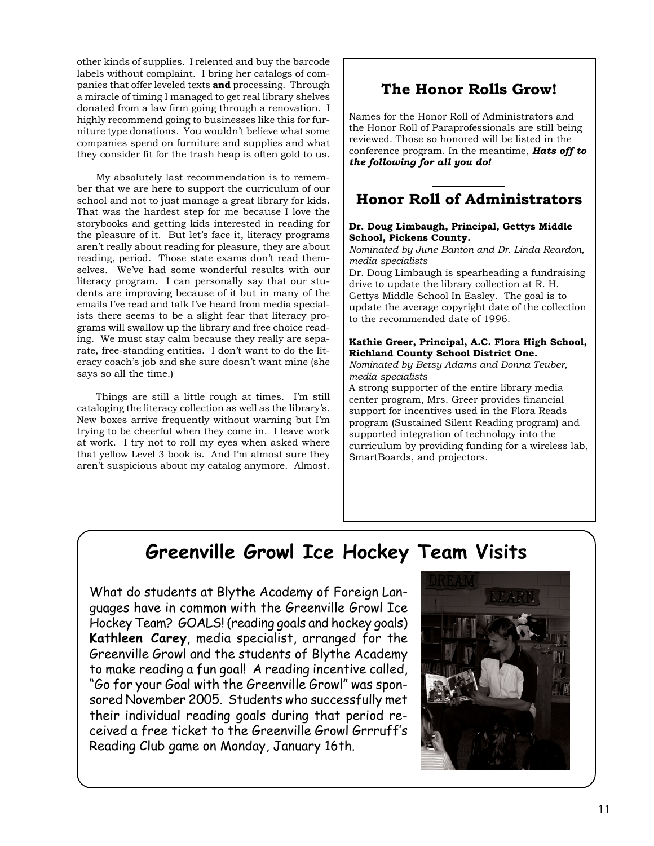other kinds of supplies. I relented and buy the barcode labels without complaint. I bring her catalogs of companies that offer leveled texts **and** processing. Through a miracle of timing I managed to get real library shelves donated from a law firm going through a renovation. I highly recommend going to businesses like this for furniture type donations. You wouldn't believe what some companies spend on furniture and supplies and what they consider fit for the trash heap is often gold to us.

My absolutely last recommendation is to remember that we are here to support the curriculum of our school and not to just manage a great library for kids. That was the hardest step for me because I love the storybooks and getting kids interested in reading for the pleasure of it. But let's face it, literacy programs aren't really about reading for pleasure, they are about reading, period. Those state exams don't read themselves. We've had some wonderful results with our literacy program. I can personally say that our students are improving because of it but in many of the emails I've read and talk I've heard from media specialists there seems to be a slight fear that literacy programs will swallow up the library and free choice reading. We must stay calm because they really are separate, free-standing entities. I don't want to do the literacy coach's job and she sure doesn't want mine (she says so all the time.)

Things are still a little rough at times. I'm still cataloging the literacy collection as well as the library's. New boxes arrive frequently without warning but I'm trying to be cheerful when they come in. I leave work at work. I try not to roll my eyes when asked where that yellow Level 3 book is. And I'm almost sure they aren't suspicious about my catalog anymore. Almost.

### **The Honor Rolls Grow!**

Names for the Honor Roll of Administrators and the Honor Roll of Paraprofessionals are still being reviewed. Those so honored will be listed in the conference program. In the meantime, *Hats off to the following for all you do!*

### **Honor Roll of Administrators**

#### **Dr. Doug Limbaugh, Principal, Gettys Middle School, Pickens County.**

*Nominated by June Banton and Dr. Linda Reardon, media specialists*

Dr. Doug Limbaugh is spearheading a fundraising drive to update the library collection at R. H. Gettys Middle School In Easley. The goal is to update the average copyright date of the collection to the recommended date of 1996.

#### **Kathie Greer, Principal, A.C. Flora High School, Richland County School District One.**

*Nominated by Betsy Adams and Donna Teuber, media specialists*

A strong supporter of the entire library media center program, Mrs. Greer provides financial support for incentives used in the Flora Reads program (Sustained Silent Reading program) and supported integration of technology into the curriculum by providing funding for a wireless lab, SmartBoards, and projectors.

# **Greenville Growl Ice Hockey Team Visits**

What do students at Blythe Academy of Foreign Languages have in common with the Greenville Growl Ice Hockey Team? GOALS! (reading goals and hockey goals) **Kathleen Carey**, media specialist, arranged for the Greenville Growl and the students of Blythe Academy to make reading a fun goal! A reading incentive called, "Go for your Goal with the Greenville Growl" was sponsored November 2005. Students who successfully met their individual reading goals during that period received a free ticket to the Greenville Growl Grrruff's Reading Club game on Monday, January 16th.

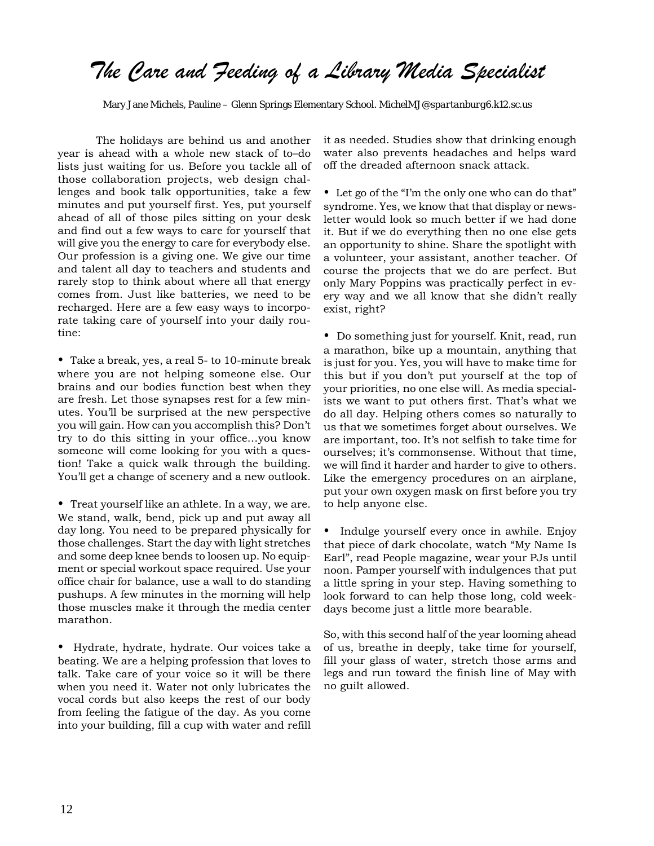# *The Care and Feeding of a Library Media Specialist*

Mary Jane Michels, Pauline – Glenn Springs Elementary School. *MichelMJ@spartanburg6.k12.sc.us*

The holidays are behind us and another year is ahead with a whole new stack of to–do lists just waiting for us. Before you tackle all of those collaboration projects, web design challenges and book talk opportunities, take a few minutes and put yourself first. Yes, put yourself ahead of all of those piles sitting on your desk and find out a few ways to care for yourself that will give you the energy to care for everybody else. Our profession is a giving one. We give our time and talent all day to teachers and students and rarely stop to think about where all that energy comes from. Just like batteries, we need to be recharged. Here are a few easy ways to incorporate taking care of yourself into your daily routine:

• Take a break, yes, a real 5- to 10-minute break where you are not helping someone else. Our brains and our bodies function best when they are fresh. Let those synapses rest for a few minutes. You'll be surprised at the new perspective you will gain. How can you accomplish this? Don't try to do this sitting in your office…you know someone will come looking for you with a question! Take a quick walk through the building. You'll get a change of scenery and a new outlook.

• Treat yourself like an athlete. In a way, we are. We stand, walk, bend, pick up and put away all day long. You need to be prepared physically for those challenges. Start the day with light stretches and some deep knee bends to loosen up. No equipment or special workout space required. Use your office chair for balance, use a wall to do standing pushups. A few minutes in the morning will help those muscles make it through the media center marathon.

• Hydrate, hydrate, hydrate. Our voices take a beating. We are a helping profession that loves to talk. Take care of your voice so it will be there when you need it. Water not only lubricates the vocal cords but also keeps the rest of our body from feeling the fatigue of the day. As you come into your building, fill a cup with water and refill it as needed. Studies show that drinking enough water also prevents headaches and helps ward off the dreaded afternoon snack attack.

• Let go of the "I'm the only one who can do that" syndrome. Yes, we know that that display or newsletter would look so much better if we had done it. But if we do everything then no one else gets an opportunity to shine. Share the spotlight with a volunteer, your assistant, another teacher. Of course the projects that we do are perfect. But only Mary Poppins was practically perfect in every way and we all know that she didn't really exist, right?

• Do something just for yourself. Knit, read, run a marathon, bike up a mountain, anything that is just for you. Yes, you will have to make time for this but if you don't put yourself at the top of your priorities, no one else will. As media specialists we want to put others first. That's what we do all day. Helping others comes so naturally to us that we sometimes forget about ourselves. We are important, too. It's not selfish to take time for ourselves; it's commonsense. Without that time, we will find it harder and harder to give to others. Like the emergency procedures on an airplane, put your own oxygen mask on first before you try to help anyone else.

• Indulge yourself every once in awhile. Enjoy that piece of dark chocolate, watch "My Name Is Earl", read People magazine, wear your PJs until noon. Pamper yourself with indulgences that put a little spring in your step. Having something to look forward to can help those long, cold weekdays become just a little more bearable.

So, with this second half of the year looming ahead of us, breathe in deeply, take time for yourself, fill your glass of water, stretch those arms and legs and run toward the finish line of May with no guilt allowed.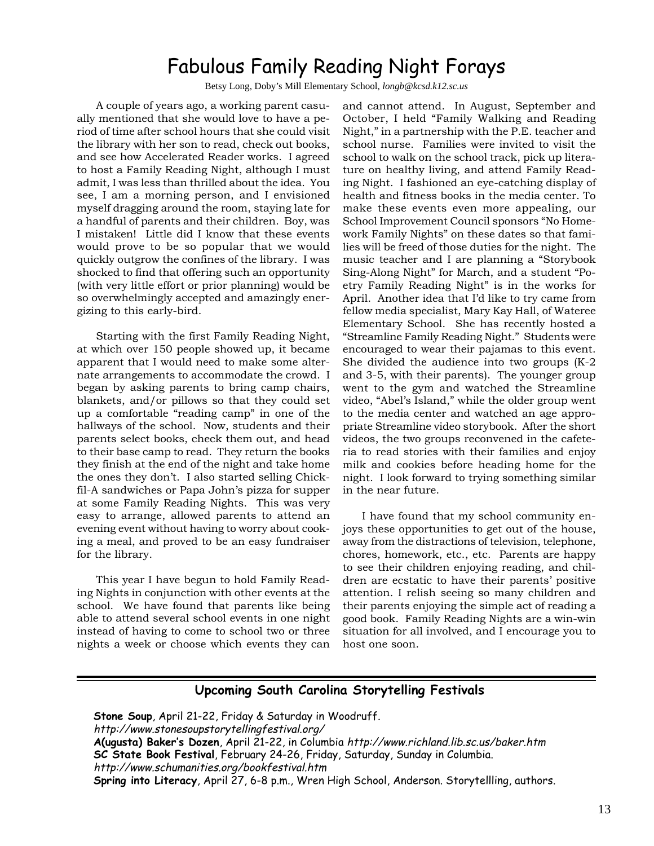# Fabulous Family Reading Night Forays

Betsy Long, Doby's Mill Elementary School, *longb@kcsd.k12.sc.us*

A couple of years ago, a working parent casually mentioned that she would love to have a period of time after school hours that she could visit the library with her son to read, check out books, and see how Accelerated Reader works. I agreed to host a Family Reading Night, although I must admit, I was less than thrilled about the idea. You see, I am a morning person, and I envisioned myself dragging around the room, staying late for a handful of parents and their children. Boy, was I mistaken! Little did I know that these events would prove to be so popular that we would quickly outgrow the confines of the library. I was shocked to find that offering such an opportunity (with very little effort or prior planning) would be so overwhelmingly accepted and amazingly energizing to this early-bird.

Starting with the first Family Reading Night, at which over 150 people showed up, it became apparent that I would need to make some alternate arrangements to accommodate the crowd. I began by asking parents to bring camp chairs, blankets, and/or pillows so that they could set up a comfortable "reading camp" in one of the hallways of the school. Now, students and their parents select books, check them out, and head to their base camp to read. They return the books they finish at the end of the night and take home the ones they don't. I also started selling Chickfil-A sandwiches or Papa John's pizza for supper at some Family Reading Nights. This was very easy to arrange, allowed parents to attend an evening event without having to worry about cooking a meal, and proved to be an easy fundraiser for the library.

This year I have begun to hold Family Reading Nights in conjunction with other events at the school. We have found that parents like being able to attend several school events in one night instead of having to come to school two or three nights a week or choose which events they can

and cannot attend. In August, September and October, I held "Family Walking and Reading Night," in a partnership with the P.E. teacher and school nurse. Families were invited to visit the school to walk on the school track, pick up literature on healthy living, and attend Family Reading Night. I fashioned an eye-catching display of health and fitness books in the media center. To make these events even more appealing, our School Improvement Council sponsors "No Homework Family Nights" on these dates so that families will be freed of those duties for the night. The music teacher and I are planning a "Storybook Sing-Along Night" for March, and a student "Poetry Family Reading Night" is in the works for April. Another idea that I'd like to try came from fellow media specialist, Mary Kay Hall, of Wateree Elementary School. She has recently hosted a "Streamline Family Reading Night." Students were encouraged to wear their pajamas to this event. She divided the audience into two groups (K-2 and 3-5, with their parents). The younger group went to the gym and watched the Streamline video, "Abel's Island," while the older group went to the media center and watched an age appropriate Streamline video storybook. After the short videos, the two groups reconvened in the cafeteria to read stories with their families and enjoy milk and cookies before heading home for the night. I look forward to trying something similar in the near future.

I have found that my school community enjoys these opportunities to get out of the house, away from the distractions of television, telephone, chores, homework, etc., etc. Parents are happy to see their children enjoying reading, and children are ecstatic to have their parents' positive attention. I relish seeing so many children and their parents enjoying the simple act of reading a good book. Family Reading Nights are a win-win situation for all involved, and I encourage you to host one soon.

### **Upcoming South Carolina Storytelling Festivals**

**Stone Soup**, April 21-22, Friday & Saturday in Woodruff. http://www.stonesoupstorytellingfestival.org/ **A(ugusta) Baker's Dozen**, April 21-22, in Columbia http://www.richland.lib.sc.us/baker.htm **SC State Book Festival**, February 24-26, Friday, Saturday, Sunday in Columbia. http://www.schumanities.org/bookfestival.htm **Spring into Literacy**, April 27, 6-8 p.m., Wren High School, Anderson. Storytellling, authors.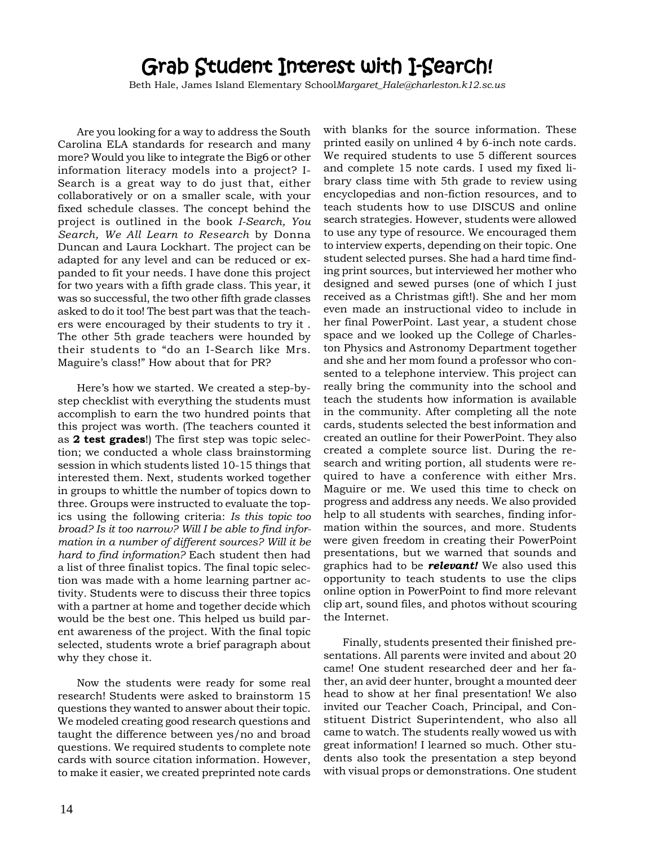# Grab Student Interest with I-Search!

Beth Hale, James Island Elementary School*Margaret\_Hale@charleston.k12.sc.us*

Are you looking for a way to address the South Carolina ELA standards for research and many more? Would you like to integrate the Big6 or other information literacy models into a project? I-Search is a great way to do just that, either collaboratively or on a smaller scale, with your fixed schedule classes. The concept behind the project is outlined in the book *I-Search, You Search, We All Learn to Research* by Donna Duncan and Laura Lockhart. The project can be adapted for any level and can be reduced or expanded to fit your needs. I have done this project for two years with a fifth grade class. This year, it was so successful, the two other fifth grade classes asked to do it too! The best part was that the teachers were encouraged by their students to try it . The other 5th grade teachers were hounded by their students to "do an I-Search like Mrs. Maguire's class!" How about that for PR?

Here's how we started. We created a step-bystep checklist with everything the students must accomplish to earn the two hundred points that this project was worth. (The teachers counted it as **2 test grades**!) The first step was topic selection; we conducted a whole class brainstorming session in which students listed 10-15 things that interested them. Next, students worked together in groups to whittle the number of topics down to three. Groups were instructed to evaluate the topics using the following criteria: *Is this topic too broad? Is it too narrow? Will I be able to find information in a number of different sources? Will it be hard to find information?* Each student then had a list of three finalist topics. The final topic selection was made with a home learning partner activity. Students were to discuss their three topics with a partner at home and together decide which would be the best one. This helped us build parent awareness of the project. With the final topic selected, students wrote a brief paragraph about why they chose it.

Now the students were ready for some real research! Students were asked to brainstorm 15 questions they wanted to answer about their topic. We modeled creating good research questions and taught the difference between yes/no and broad questions. We required students to complete note cards with source citation information. However, to make it easier, we created preprinted note cards

with blanks for the source information. These printed easily on unlined 4 by 6-inch note cards. We required students to use 5 different sources and complete 15 note cards. I used my fixed library class time with 5th grade to review using encyclopedias and non-fiction resources, and to teach students how to use DISCUS and online search strategies. However, students were allowed to use any type of resource. We encouraged them to interview experts, depending on their topic. One student selected purses. She had a hard time finding print sources, but interviewed her mother who designed and sewed purses (one of which I just received as a Christmas gift!). She and her mom even made an instructional video to include in her final PowerPoint. Last year, a student chose space and we looked up the College of Charleston Physics and Astronomy Department together and she and her mom found a professor who consented to a telephone interview. This project can really bring the community into the school and teach the students how information is available in the community. After completing all the note cards, students selected the best information and created an outline for their PowerPoint. They also created a complete source list. During the research and writing portion, all students were required to have a conference with either Mrs. Maguire or me. We used this time to check on progress and address any needs. We also provided help to all students with searches, finding information within the sources, and more. Students were given freedom in creating their PowerPoint presentations, but we warned that sounds and graphics had to be *relevant!* We also used this opportunity to teach students to use the clips online option in PowerPoint to find more relevant clip art, sound files, and photos without scouring the Internet.

Finally, students presented their finished presentations. All parents were invited and about 20 came! One student researched deer and her father, an avid deer hunter, brought a mounted deer head to show at her final presentation! We also invited our Teacher Coach, Principal, and Constituent District Superintendent, who also all came to watch. The students really wowed us with great information! I learned so much. Other students also took the presentation a step beyond with visual props or demonstrations. One student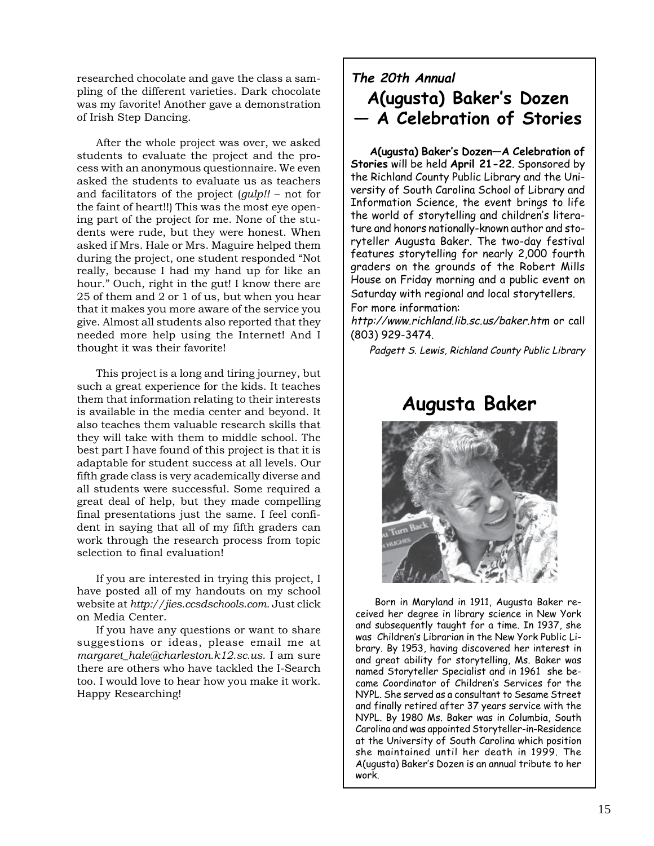researched chocolate and gave the class a sampling of the different varieties. Dark chocolate was my favorite! Another gave a demonstration of Irish Step Dancing.

After the whole project was over, we asked students to evaluate the project and the process with an anonymous questionnaire. We even asked the students to evaluate us as teachers and facilitators of the project (*gulp!!* – not for the faint of heart!!) This was the most eye opening part of the project for me. None of the students were rude, but they were honest. When asked if Mrs. Hale or Mrs. Maguire helped them during the project, one student responded "Not really, because I had my hand up for like an hour." Ouch, right in the gut! I know there are 25 of them and 2 or 1 of us, but when you hear that it makes you more aware of the service you give. Almost all students also reported that they needed more help using the Internet! And I thought it was their favorite!

This project is a long and tiring journey, but such a great experience for the kids. It teaches them that information relating to their interests is available in the media center and beyond. It also teaches them valuable research skills that they will take with them to middle school. The best part I have found of this project is that it is adaptable for student success at all levels. Our fifth grade class is very academically diverse and all students were successful. Some required a great deal of help, but they made compelling final presentations just the same. I feel confident in saying that all of my fifth graders can work through the research process from topic selection to final evaluation!

If you are interested in trying this project, I have posted all of my handouts on my school website at *http://jies.ccsdschools.com.* Just click on Media Center.

If you have any questions or want to share suggestions or ideas, please email me at *margaret\_hale@charleston.k12.sc.us*. I am sure there are others who have tackled the I-Search too. I would love to hear how you make it work. Happy Researching!

## **The 20th Annual A(ugusta) Baker's Dozen — A Celebration of Stories**

**A(ugusta) Baker's Dozen—A Celebration of Stories** will be held **April 21-22**. Sponsored by the Richland County Public Library and the University of South Carolina School of Library and Information Science, the event brings to life the world of storytelling and children's literature and honors nationally-known author and storyteller Augusta Baker. The two-day festival features storytelling for nearly 2,000 fourth graders on the grounds of the Robert Mills House on Friday morning and a public event on Saturday with regional and local storytellers. For more information:

http://www.richland.lib.sc.us/baker.htm or call (803) 929-3474.

Padgett S. Lewis, Richland County Public Library

# **Augusta Baker**



Born in Maryland in 1911, Augusta Baker received her degree in library science in New York and subsequently taught for a time. In 1937, she was Children's Librarian in the New York Public Library. By 1953, having discovered her interest in and great ability for storytelling, Ms. Baker was named Storyteller Specialist and in 1961 she became Coordinator of Children's Services for the NYPL. She served as a consultant to Sesame Street and finally retired after 37 years service with the NYPL. By 1980 Ms. Baker was in Columbia, South Carolina and was appointed Storyteller-in-Residence at the University of South Carolina which position she maintained until her death in 1999. The A(ugusta) Baker's Dozen is an annual tribute to her work.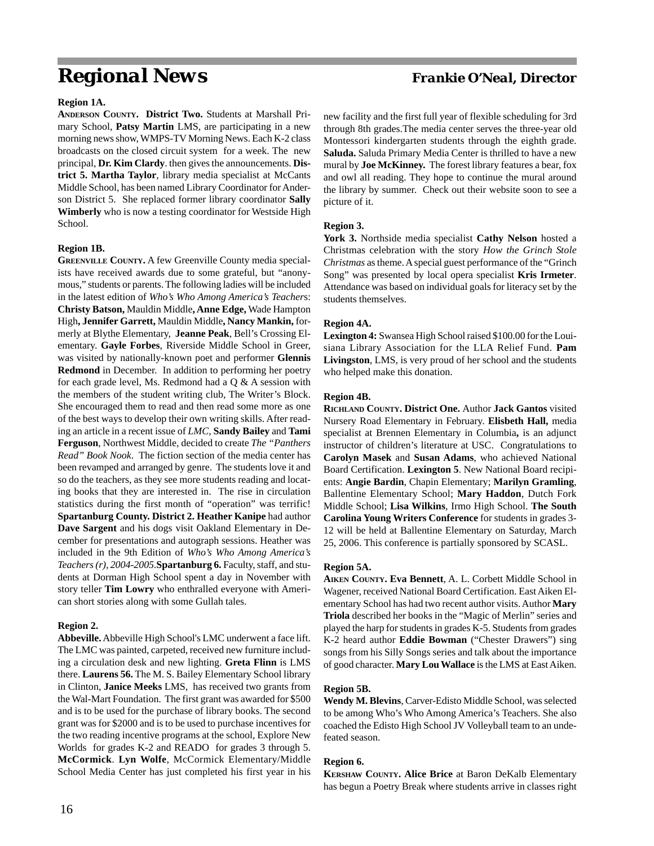# *Regional News Frankie O'Neal, Director*

#### **Region 1A.**

**ANDERSON COUNTY. District Two.** Students at Marshall Primary School, **Patsy Martin** LMS, are participating in a new morning news show, WMPS-TV Morning News. Each K-2 class broadcasts on the closed circuit system for a week. The new principal, **Dr. Kim Clardy**. then gives the announcements. **District 5. Martha Taylor**, library media specialist at McCants Middle School, has been named Library Coordinator for Anderson District 5. She replaced former library coordinator **Sally Wimberly** who is now a testing coordinator for Westside High School.

#### **Region 1B.**

**GREENVILLE COUNTY.** A few Greenville County media specialists have received awards due to some grateful, but "anonymous," students or parents. The following ladies will be included in the latest edition of *Who's Who Among America's Teacher*s: **Christy Batson,** Mauldin Middle**, Anne Edge,** Wade Hampton High**, Jennifer Garrett,** Mauldin Middle**, Nancy Mankin,** formerly at Blythe Elementary, **Jeanne Peak**, Bell's Crossing Elementary. **Gayle Forbes**, Riverside Middle School in Greer, was visited by nationally-known poet and performer **Glennis Redmond** in December. In addition to performing her poetry for each grade level, Ms. Redmond had a Q & A session with the members of the student writing club, The Writer's Block. She encouraged them to read and then read some more as one of the best ways to develop their own writing skills. After reading an article in a recent issue of *LMC*, **Sandy Bailey** and **Tami Ferguson**, Northwest Middle, decided to create *The "Panthers Read" Book Nook*. The fiction section of the media center has been revamped and arranged by genre. The students love it and so do the teachers, as they see more students reading and locating books that they are interested in. The rise in circulation statistics during the first month of "operation" was terrific! **Spartanburg County. District 2. Heather Kanipe** had author **Dave Sargent** and his dogs visit Oakland Elementary in December for presentations and autograph sessions. Heather was included in the 9th Edition of *Who's Who Among America's Teachers (r), 2004-2005*.**Spartanburg 6.** Faculty, staff, and students at Dorman High School spent a day in November with story teller **Tim Lowry** who enthralled everyone with American short stories along with some Gullah tales.

#### **Region 2.**

**Abbeville.** Abbeville High School's LMC underwent a face lift. The LMC was painted, carpeted, received new furniture including a circulation desk and new lighting. **Greta Flinn** is LMS there. **Laurens 56.** The M. S. Bailey Elementary School library in Clinton, **Janice Meeks** LMS, has received two grants from the Wal-Mart Foundation. The first grant was awarded for \$500 and is to be used for the purchase of library books. The second grant was for \$2000 and is to be used to purchase incentives for the two reading incentive programs at the school, Explore New Worlds for grades K-2 and READO for grades 3 through 5. **McCormick**. **Lyn Wolfe**, McCormick Elementary/Middle School Media Center has just completed his first year in his

new facility and the first full year of flexible scheduling for 3rd through 8th grades.The media center serves the three-year old Montessori kindergarten students through the eighth grade. **Saluda.** Saluda Primary Media Center is thrilled to have a new mural by **Joe McKinney.** The forest library features a bear, fox and owl all reading. They hope to continue the mural around the library by summer. Check out their website soon to see a picture of it.

#### **Region 3.**

**York 3.** Northside media specialist **Cathy Nelson** hosted a Christmas celebration with the story *How the Grinch Stole Christmas* as theme. A special guest performance of the "Grinch Song" was presented by local opera specialist **Kris Irmeter**. Attendance was based on individual goals for literacy set by the students themselves.

#### **Region 4A.**

**Lexington 4:** Swansea High School raised \$100.00 for the Louisiana Library Association for the LLA Relief Fund. **Pam Livingston**, LMS, is very proud of her school and the students who helped make this donation.

#### **Region 4B.**

**RICHLAND COUNTY. District One.** Author **Jack Gantos** visited Nursery Road Elementary in February. **Elisbeth Hall,** media specialist at Brennen Elementary in Columbia**,** is an adjunct instructor of children's literature at USC. Congratulations to **Carolyn Masek** and **Susan Adams**, who achieved National Board Certification. **Lexington 5**. New National Board recipients: **Angie Bardin**, Chapin Elementary; **Marilyn Gramling**, Ballentine Elementary School; **Mary Haddon**, Dutch Fork Middle School; **Lisa Wilkins**, Irmo High School. **The South Carolina Young Writers Conference** for students in grades 3- 12 will be held at Ballentine Elementary on Saturday, March 25, 2006. This conference is partially sponsored by SCASL.

#### **Region 5A.**

**AIKEN COUNTY. Eva Bennett**, A. L. Corbett Middle School in Wagener, received National Board Certification. East Aiken Elementary School has had two recent author visits. Author **Mary Triola** described her books in the "Magic of Merlin" series and played the harp for students in grades K-5. Students from grades K-2 heard author **Eddie Bowman** ("Chester Drawers") sing songs from his Silly Songs series and talk about the importance of good character. **Mary Lou Wallace** is the LMS at East Aiken.

#### **Region 5B.**

**Wendy M. Blevins**, Carver-Edisto Middle School, was selected to be among Who's Who Among America's Teachers. She also coached the Edisto High School JV Volleyball team to an undefeated season.

#### **Region 6.**

**KERSHAW COUNTY. Alice Brice** at Baron DeKalb Elementary has begun a Poetry Break where students arrive in classes right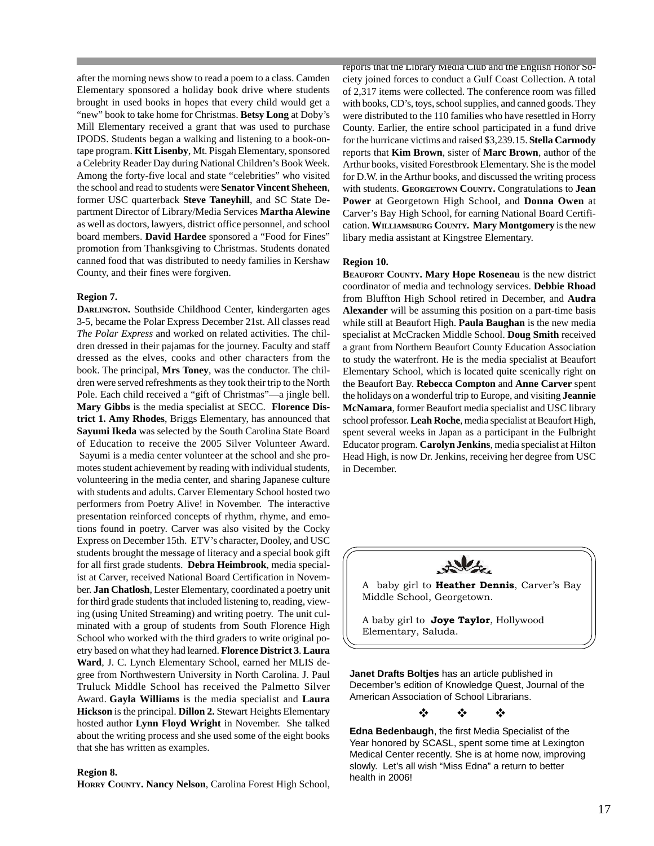after the morning news show to read a poem to a class. Camden Elementary sponsored a holiday book drive where students brought in used books in hopes that every child would get a "new" book to take home for Christmas. **Betsy Long** at Doby's Mill Elementary received a grant that was used to purchase IPODS. Students began a walking and listening to a book-ontape program. **Kitt Lisenby**, Mt. Pisgah Elementary, sponsored a Celebrity Reader Day during National Children's Book Week. Among the forty-five local and state "celebrities" who visited the school and read to students were **Senator Vincent Sheheen**, former USC quarterback **Steve Taneyhill**, and SC State Department Director of Library/Media Services **Martha Alewine** as well as doctors, lawyers, district office personnel, and school board members. **David Hardee** sponsored a "Food for Fines" promotion from Thanksgiving to Christmas. Students donated canned food that was distributed to needy families in Kershaw County, and their fines were forgiven.

#### **Region 7.**

**DARLINGTON.** Southside Childhood Center, kindergarten ages 3-5, became the Polar Express December 21st. All classes read *The Polar Express* and worked on related activities. The children dressed in their pajamas for the journey. Faculty and staff dressed as the elves, cooks and other characters from the book. The principal, **Mrs Toney**, was the conductor. The children were served refreshments as they took their trip to the North Pole. Each child received a "gift of Christmas"—a jingle bell. **Mary Gibbs** is the media specialist at SECC. **Florence District 1. Amy Rhodes**, Briggs Elementary, has announced that **Sayumi Ikeda** was selected by the South Carolina State Board of Education to receive the 2005 Silver Volunteer Award. Sayumi is a media center volunteer at the school and she promotes student achievement by reading with individual students, volunteering in the media center, and sharing Japanese culture with students and adults. Carver Elementary School hosted two performers from Poetry Alive! in November. The interactive presentation reinforced concepts of rhythm, rhyme, and emotions found in poetry. Carver was also visited by the Cocky Express on December 15th. ETV's character, Dooley, and USC students brought the message of literacy and a special book gift for all first grade students. **Debra Heimbrook**, media specialist at Carver, received National Board Certification in November. **Jan Chatlosh**, Lester Elementary, coordinated a poetry unit for third grade students that included listening to, reading, viewing (using United Streaming) and writing poetry. The unit culminated with a group of students from South Florence High School who worked with the third graders to write original poetry based on what they had learned. **Florence District 3**. **Laura Ward**, J. C. Lynch Elementary School, earned her MLIS degree from Northwestern University in North Carolina. J. Paul Truluck Middle School has received the Palmetto Silver Award. **Gayla Williams** is the media specialist and **Laura Hickson** is the principal. **Dillon 2.** Stewart Heights Elementary hosted author **Lynn Floyd Wright** in November. She talked about the writing process and she used some of the eight books that she has written as examples.

#### **Region 8.**

**HORRY COUNTY. Nancy Nelson**, Carolina Forest High School,

reports that the Library Media Club and the English Honor Society joined forces to conduct a Gulf Coast Collection. A total of 2,317 items were collected. The conference room was filled with books, CD's, toys, school supplies, and canned goods. They were distributed to the 110 families who have resettled in Horry County. Earlier, the entire school participated in a fund drive for the hurricane victims and raised \$3,239.15. **Stella Carmody** reports that **Kim Brown**, sister of **Marc Brown**, author of the Arthur books, visited Forestbrook Elementary. She is the model for D.W. in the Arthur books, and discussed the writing process with students. **GEORGETOWN COUNTY.** Congratulations to **Jean Power** at Georgetown High School, and **Donna Owen** at Carver's Bay High School, for earning National Board Certification. **WILLIAMSBURG COUNTY. Mary Montgomery** is the new libary media assistant at Kingstree Elementary.

#### **Region 10.**

**BEAUFORT COUNTY. Mary Hope Roseneau** is the new district coordinator of media and technology services. **Debbie Rhoad** from Bluffton High School retired in December, and **Audra Alexander** will be assuming this position on a part-time basis while still at Beaufort High. **Paula Baughan** is the new media specialist at McCracken Middle School. **Doug Smith** received a grant from Northern Beaufort County Education Association to study the waterfront. He is the media specialist at Beaufort Elementary School, which is located quite scenically right on the Beaufort Bay. **Rebecca Compton** and **Anne Carver** spent the holidays on a wonderful trip to Europe, and visiting **Jeannie McNamara**, former Beaufort media specialist and USC library school professor. **Leah Roche**, media specialist at Beaufort High, spent several weeks in Japan as a participant in the Fulbright Educator program. **Carolyn Jenkins**, media specialist at Hilton Head High, is now Dr. Jenkins, receiving her degree from USC in December.



A baby girl to **Heather Dennis**, Carver's Bay Middle School, Georgetown.

A baby girl to **Joye Taylor**, Hollywood Elementary, Saluda.

**Janet Drafts Boltjes** has an article published in December's edition of Knowledge Quest, Journal of the American Association of School Librarians.

 $\begin{array}{ccccc} \psi & \psi & \psi \end{array}$ 

**Edna Bedenbaugh**, the first Media Specialist of the Year honored by SCASL, spent some time at Lexington Medical Center recently. She is at home now, improving slowly. Let's all wish "Miss Edna" a return to better health in 2006!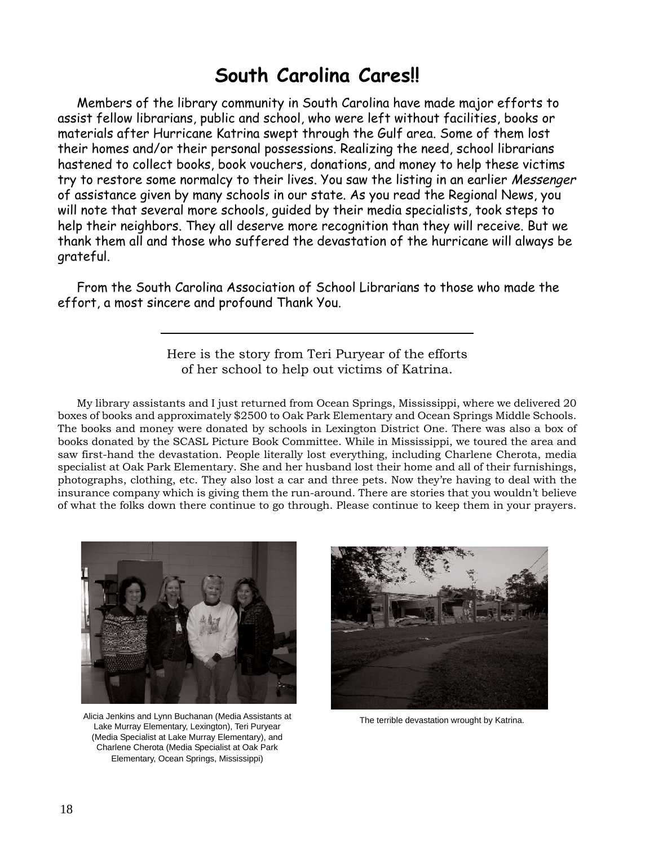# **South Carolina Cares!!**

Members of the library community in South Carolina have made major efforts to assist fellow librarians, public and school, who were left without facilities, books or materials after Hurricane Katrina swept through the Gulf area. Some of them lost their homes and/or their personal possessions. Realizing the need, school librarians hastened to collect books, book vouchers, donations, and money to help these victims try to restore some normalcy to their lives. You saw the listing in an earlier Messenger of assistance given by many schools in our state. As you read the Regional News, you will note that several more schools, guided by their media specialists, took steps to help their neighbors. They all deserve more recognition than they will receive. But we thank them all and those who suffered the devastation of the hurricane will always be grateful.

From the South Carolina Association of School Librarians to those who made the effort, a most sincere and profound Thank You.

### Here is the story from Teri Puryear of the efforts of her school to help out victims of Katrina.

My library assistants and I just returned from Ocean Springs, Mississippi, where we delivered 20 boxes of books and approximately \$2500 to Oak Park Elementary and Ocean Springs Middle Schools. The books and money were donated by schools in Lexington District One. There was also a box of books donated by the SCASL Picture Book Committee. While in Mississippi, we toured the area and saw first-hand the devastation. People literally lost everything, including Charlene Cherota, media specialist at Oak Park Elementary. She and her husband lost their home and all of their furnishings, photographs, clothing, etc. They also lost a car and three pets. Now they're having to deal with the insurance company which is giving them the run-around. There are stories that you wouldn't believe of what the folks down there continue to go through. Please continue to keep them in your prayers.



Alicia Jenkins and Lynn Buchanan (Media Assistants at Lake Murray Elementary, Lexington), Teri Puryear (Media Specialist at Lake Murray Elementary), and Charlene Cherota (Media Specialist at Oak Park Elementary, Ocean Springs, Mississippi)



The terrible devastation wrought by Katrina.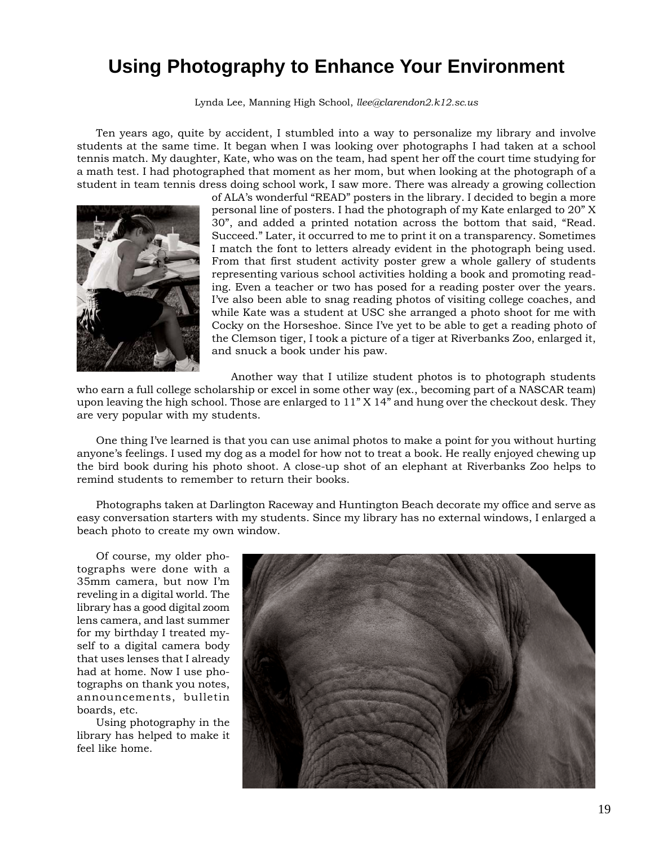# **Using Photography to Enhance Your Environment**

Lynda Lee, Manning High School, *llee@clarendon2.k12.sc.us*

Ten years ago, quite by accident, I stumbled into a way to personalize my library and involve students at the same time. It began when I was looking over photographs I had taken at a school tennis match. My daughter, Kate, who was on the team, had spent her off the court time studying for a math test. I had photographed that moment as her mom, but when looking at the photograph of a student in team tennis dress doing school work, I saw more. There was already a growing collection



of ALA's wonderful "READ" posters in the library. I decided to begin a more personal line of posters. I had the photograph of my Kate enlarged to 20" X 30", and added a printed notation across the bottom that said, "Read. Succeed." Later, it occurred to me to print it on a transparency. Sometimes I match the font to letters already evident in the photograph being used. From that first student activity poster grew a whole gallery of students representing various school activities holding a book and promoting reading. Even a teacher or two has posed for a reading poster over the years. I've also been able to snag reading photos of visiting college coaches, and while Kate was a student at USC she arranged a photo shoot for me with Cocky on the Horseshoe. Since I've yet to be able to get a reading photo of the Clemson tiger, I took a picture of a tiger at Riverbanks Zoo, enlarged it, and snuck a book under his paw.

Another way that I utilize student photos is to photograph students

who earn a full college scholarship or excel in some other way (ex., becoming part of a NASCAR team) upon leaving the high school. Those are enlarged to 11" X 14" and hung over the checkout desk. They are very popular with my students.

One thing I've learned is that you can use animal photos to make a point for you without hurting anyone's feelings. I used my dog as a model for how not to treat a book. He really enjoyed chewing up the bird book during his photo shoot. A close-up shot of an elephant at Riverbanks Zoo helps to remind students to remember to return their books.

Photographs taken at Darlington Raceway and Huntington Beach decorate my office and serve as easy conversation starters with my students. Since my library has no external windows, I enlarged a beach photo to create my own window.

Of course, my older photographs were done with a 35mm camera, but now I'm reveling in a digital world. The library has a good digital zoom lens camera, and last summer for my birthday I treated myself to a digital camera body that uses lenses that I already had at home. Now I use photographs on thank you notes, announcements, bulletin boards, etc.

Using photography in the library has helped to make it feel like home.

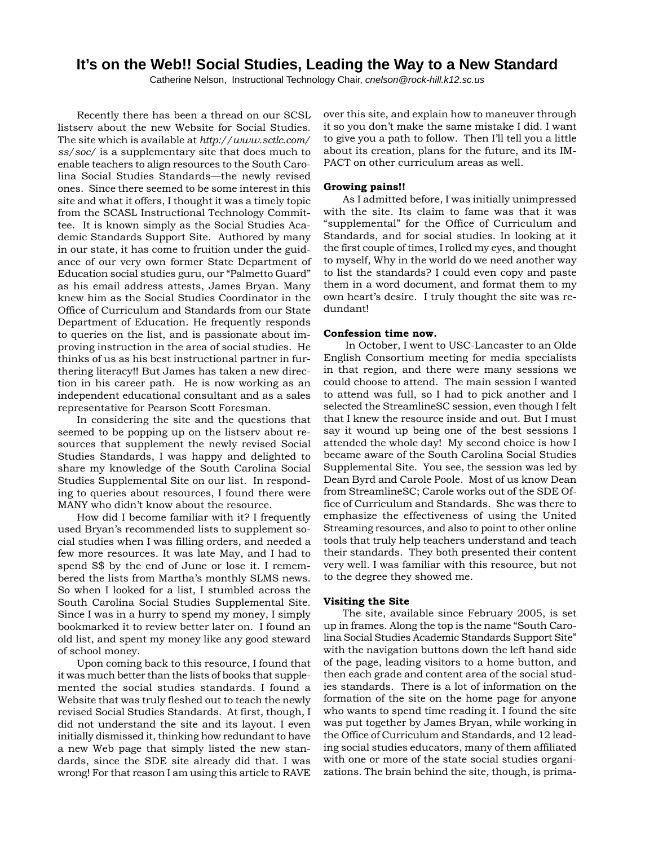### **It's on the Web!! Social Studies, Leading the Way to a New Standard**

Catherine Nelson, Instructional Technology Chair, *cnelson@rock-hill.k12.sc.us*

Recently there has been a thread on our SCSL listserv about the new Website for Social Studies. The site which is available at *http://www.sctlc.com/ ss/soc/* is a supplementary site that does much to enable teachers to align resources to the South Carolina Social Studies Standards—the newly revised ones. Since there seemed to be some interest in this site and what it offers, I thought it was a timely topic from the SCASL Instructional Technology Committee. It is known simply as the Social Studies Academic Standards Support Site. Authored by many in our state, it has come to fruition under the guidance of our very own former State Department of Education social studies guru, our "Palmetto Guard" as his email address attests, James Bryan. Many knew him as the Social Studies Coordinator in the Office of Curriculum and Standards from our State Department of Education. He frequently responds to queries on the list, and is passionate about improving instruction in the area of social studies. He thinks of us as his best instructional partner in furthering literacy!! But James has taken a new direction in his career path. He is now working as an independent educational consultant and as a sales representative for Pearson Scott Foresman.

In considering the site and the questions that seemed to be popping up on the listserv about resources that supplement the newly revised Social Studies Standards, I was happy and delighted to share my knowledge of the South Carolina Social Studies Supplemental Site on our list. In responding to queries about resources, I found there were MANY who didn't know about the resource.

How did I become familiar with it? I frequently used Bryan's recommended lists to supplement social studies when I was filling orders, and needed a few more resources. It was late May, and I had to spend \$\$ by the end of June or lose it. I remembered the lists from Martha's monthly SLMS news. So when I looked for a list, I stumbled across the South Carolina Social Studies Supplemental Site. Since I was in a hurry to spend my money, I simply bookmarked it to review better later on. I found an old list, and spent my money like any good steward of school money.

Upon coming back to this resource, I found that it was much better than the lists of books that supplemented the social studies standards. I found a Website that was truly fleshed out to teach the newly revised Social Studies Standards. At first, though, I did not understand the site and its layout. I even initially dismissed it, thinking how redundant to have a new Web page that simply listed the new standards, since the SDE site already did that. I was wrong! For that reason I am using this article to RAVE

over this site, and explain how to maneuver through it so you don't make the same mistake I did. I want to give you a path to follow. Then I'll tell you a little about its creation, plans for the future, and its IM-PACT on other curriculum areas as well.

#### **Growing pains!!**

As I admitted before, I was initially unimpressed with the site. Its claim to fame was that it was "supplemental" for the Office of Curriculum and Standards, and for social studies. In looking at it the first couple of times, I rolled my eyes, and thought to myself, Why in the world do we need another way to list the standards? I could even copy and paste them in a word document, and format them to my own heart's desire. I truly thought the site was redundant!

#### **Confession time now.**

 In October, I went to USC-Lancaster to an Olde English Consortium meeting for media specialists in that region, and there were many sessions we could choose to attend. The main session I wanted to attend was full, so I had to pick another and I selected the StreamlineSC session, even though I felt that I knew the resource inside and out. But I must say it wound up being one of the best sessions I attended the whole day! My second choice is how I became aware of the South Carolina Social Studies Supplemental Site. You see, the session was led by Dean Byrd and Carole Poole. Most of us know Dean from StreamlineSC; Carole works out of the SDE Office of Curriculum and Standards. She was there to emphasize the effectiveness of using the United Streaming resources, and also to point to other online tools that truly help teachers understand and teach their standards. They both presented their content very well. I was familiar with this resource, but not to the degree they showed me.

#### **Visiting the Site**

The site, available since February 2005, is set up in frames. Along the top is the name "South Carolina Social Studies Academic Standards Support Site" with the navigation buttons down the left hand side of the page, leading visitors to a home button, and then each grade and content area of the social studies standards. There is a lot of information on the formation of the site on the home page for anyone who wants to spend time reading it. I found the site was put together by James Bryan, while working in the Office of Curriculum and Standards, and 12 leading social studies educators, many of them affiliated with one or more of the state social studies organizations. The brain behind the site, though, is prima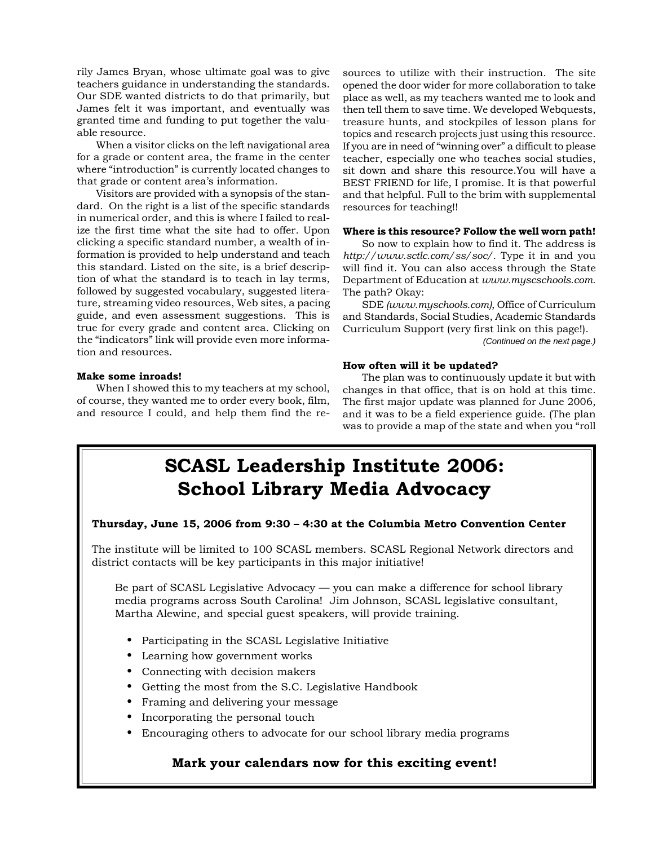rily James Bryan, whose ultimate goal was to give teachers guidance in understanding the standards. Our SDE wanted districts to do that primarily, but James felt it was important, and eventually was granted time and funding to put together the valuable resource.

When a visitor clicks on the left navigational area for a grade or content area, the frame in the center where "introduction" is currently located changes to that grade or content area's information.

Visitors are provided with a synopsis of the standard. On the right is a list of the specific standards in numerical order, and this is where I failed to realize the first time what the site had to offer. Upon clicking a specific standard number, a wealth of information is provided to help understand and teach this standard. Listed on the site, is a brief description of what the standard is to teach in lay terms, followed by suggested vocabulary, suggested literature, streaming video resources, Web sites, a pacing guide, and even assessment suggestions. This is true for every grade and content area. Clicking on the "indicators" link will provide even more information and resources.

#### **Make some inroads!**

When I showed this to my teachers at my school, of course, they wanted me to order every book, film, and resource I could, and help them find the resources to utilize with their instruction. The site opened the door wider for more collaboration to take place as well, as my teachers wanted me to look and then tell them to save time. We developed Webquests, treasure hunts, and stockpiles of lesson plans for topics and research projects just using this resource. If you are in need of "winning over" a difficult to please teacher, especially one who teaches social studies, sit down and share this resource.You will have a BEST FRIEND for life, I promise. It is that powerful and that helpful. Full to the brim with supplemental resources for teaching!!

#### **Where is this resource? Follow the well worn path!**

So now to explain how to find it. The address is *http://www.sctlc.com/ss/soc/.* Type it in and you will find it. You can also access through the State Department of Education at *www.myscschools.com.* The path? Okay:

SDE *(www.myschools.com)*, Office of Curriculum and Standards, Social Studies, Academic Standards Curriculum Support (very first link on this page!).

#### *(Continued on the next page.)*

#### **How often will it be updated?**

The plan was to continuously update it but with changes in that office, that is on hold at this time. The first major update was planned for June 2006, and it was to be a field experience guide. (The plan was to provide a map of the state and when you "roll

# **SCASL Leadership Institute 2006: School Library Media Advocacy**

#### **Thursday, June 15, 2006 from 9:30 – 4:30 at the Columbia Metro Convention Center**

The institute will be limited to 100 SCASL members. SCASL Regional Network directors and district contacts will be key participants in this major initiative!

Be part of SCASL Legislative Advocacy — you can make a difference for school library media programs across South Carolina! Jim Johnson, SCASL legislative consultant, Martha Alewine, and special guest speakers, will provide training.

- Participating in the SCASL Legislative Initiative
- Learning how government works
- Connecting with decision makers
- Getting the most from the S.C. Legislative Handbook
- Framing and delivering your message
- Incorporating the personal touch
- Encouraging others to advocate for our school library media programs

#### **Mark your calendars now for this exciting event!**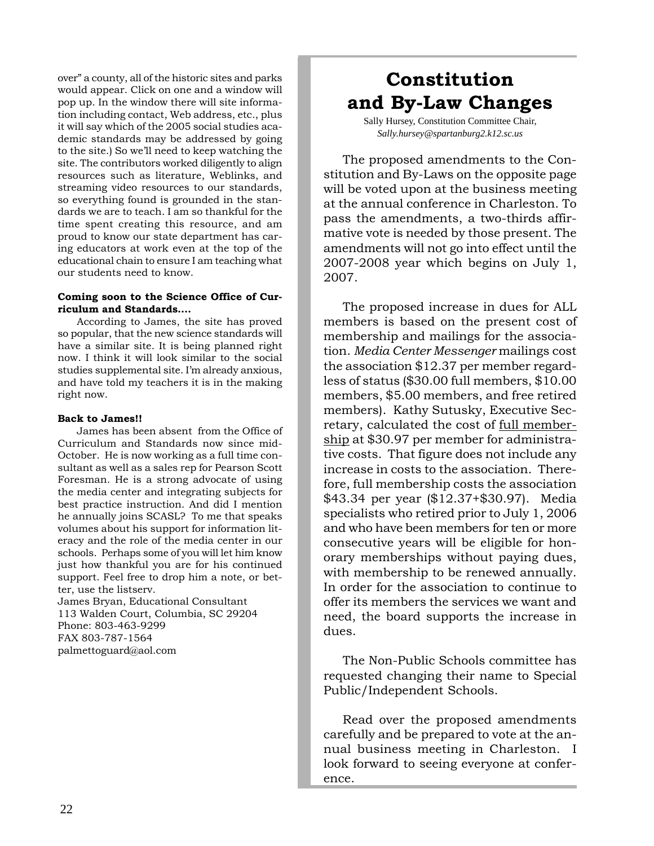over" a county, all of the historic sites and parks would appear. Click on one and a window will pop up. In the window there will site information including contact, Web address, etc., plus it will say which of the 2005 social studies academic standards may be addressed by going to the site.) So we'll need to keep watching the site. The contributors worked diligently to align resources such as literature, Weblinks, and streaming video resources to our standards, so everything found is grounded in the standards we are to teach. I am so thankful for the time spent creating this resource, and am proud to know our state department has caring educators at work even at the top of the educational chain to ensure I am teaching what our students need to know.

#### **Coming soon to the Science Office of Curriculum and Standards….**

According to James, the site has proved so popular, that the new science standards will have a similar site. It is being planned right now. I think it will look similar to the social studies supplemental site. I'm already anxious, and have told my teachers it is in the making right now.

#### **Back to James!!**

James has been absent from the Office of Curriculum and Standards now since mid-October. He is now working as a full time consultant as well as a sales rep for Pearson Scott Foresman. He is a strong advocate of using the media center and integrating subjects for best practice instruction. And did I mention he annually joins SCASL? To me that speaks volumes about his support for information literacy and the role of the media center in our schools. Perhaps some of you will let him know just how thankful you are for his continued support. Feel free to drop him a note, or better, use the listserv.

James Bryan, Educational Consultant 113 Walden Court, Columbia, SC 29204 Phone: 803-463-9299 FAX 803-787-1564 palmettoguard@aol.com

# **Constitution and By-Law Changes**

Sally Hursey, Constitution Committee Chair, *Sally.hursey@spartanburg2.k12.sc.us*

The proposed amendments to the Constitution and By-Laws on the opposite page will be voted upon at the business meeting at the annual conference in Charleston. To pass the amendments, a two-thirds affirmative vote is needed by those present. The amendments will not go into effect until the 2007-2008 year which begins on July 1, 2007.

The proposed increase in dues for ALL members is based on the present cost of membership and mailings for the association. *Media Center Messenger* mailings cost the association \$12.37 per member regardless of status (\$30.00 full members, \$10.00 members, \$5.00 members, and free retired members). Kathy Sutusky, Executive Secretary, calculated the cost of full membership at \$30.97 per member for administrative costs. That figure does not include any increase in costs to the association. Therefore, full membership costs the association \$43.34 per year (\$12.37+\$30.97). Media specialists who retired prior to July 1, 2006 and who have been members for ten or more consecutive years will be eligible for honorary memberships without paying dues, with membership to be renewed annually. In order for the association to continue to offer its members the services we want and need, the board supports the increase in dues.

The Non-Public Schools committee has requested changing their name to Special Public/Independent Schools.

Read over the proposed amendments carefully and be prepared to vote at the annual business meeting in Charleston. I look forward to seeing everyone at conference.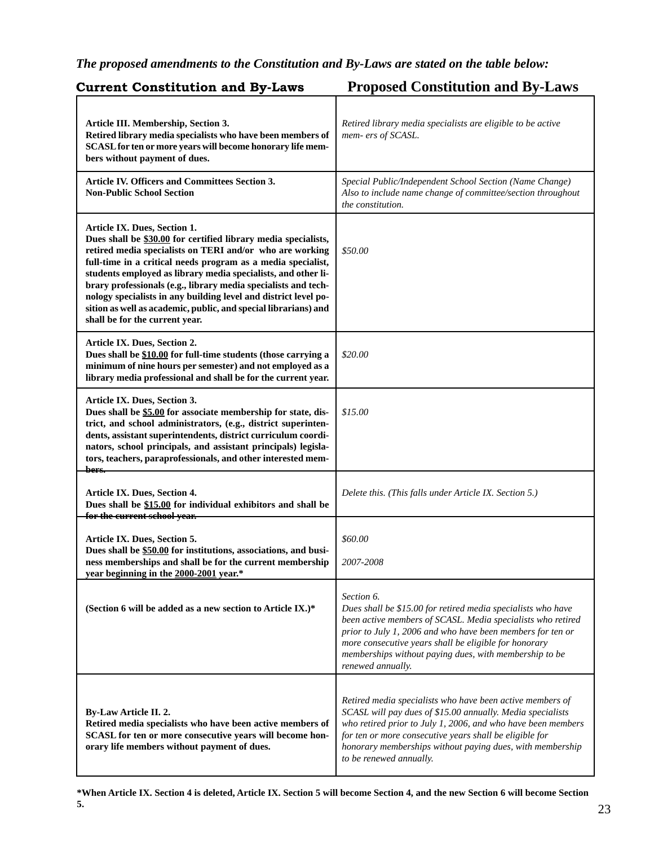### *The proposed amendments to the Constitution and By-Laws are stated on the table below:*

| <b>Current Constitution and By-Laws</b>                                                                                                                                                                                                                                                                                                                                                                                                                                                                                               | <b>Proposed Constitution and By-Laws</b>                                                                                                                                                                                                                                                                                                        |
|---------------------------------------------------------------------------------------------------------------------------------------------------------------------------------------------------------------------------------------------------------------------------------------------------------------------------------------------------------------------------------------------------------------------------------------------------------------------------------------------------------------------------------------|-------------------------------------------------------------------------------------------------------------------------------------------------------------------------------------------------------------------------------------------------------------------------------------------------------------------------------------------------|
| Article III. Membership, Section 3.<br>Retired library media specialists who have been members of<br>SCASL for ten or more years will become honorary life mem-<br>bers without payment of dues.                                                                                                                                                                                                                                                                                                                                      | Retired library media specialists are eligible to be active<br>mem- ers of SCASL.                                                                                                                                                                                                                                                               |
| <b>Article IV. Officers and Committees Section 3.</b><br><b>Non-Public School Section</b>                                                                                                                                                                                                                                                                                                                                                                                                                                             | Special Public/Independent School Section (Name Change)<br>Also to include name change of committee/section throughout<br>the constitution.                                                                                                                                                                                                     |
| Article IX. Dues, Section 1.<br>Dues shall be \$30.00 for certified library media specialists,<br>retired media specialists on TERI and/or who are working<br>full-time in a critical needs program as a media specialist,<br>students employed as library media specialists, and other li-<br>brary professionals (e.g., library media specialists and tech-<br>nology specialists in any building level and district level po-<br>sition as well as academic, public, and special librarians) and<br>shall be for the current year. | \$50.00                                                                                                                                                                                                                                                                                                                                         |
| Article IX. Dues, Section 2.<br>Dues shall be \$10.00 for full-time students (those carrying a<br>minimum of nine hours per semester) and not employed as a<br>library media professional and shall be for the current year.                                                                                                                                                                                                                                                                                                          | \$20.00                                                                                                                                                                                                                                                                                                                                         |
| Article IX. Dues, Section 3.<br>Dues shall be \$5.00 for associate membership for state, dis-<br>trict, and school administrators, (e.g., district superinten-<br>dents, assistant superintendents, district curriculum coordi-<br>nators, school principals, and assistant principals) legisla-<br>tors, teachers, paraprofessionals, and other interested mem-<br><del>bers.</del>                                                                                                                                                  | \$15.00                                                                                                                                                                                                                                                                                                                                         |
| Article IX. Dues, Section 4.<br>Dues shall be \$15.00 for individual exhibitors and shall be<br>for the current school year.                                                                                                                                                                                                                                                                                                                                                                                                          | Delete this. (This falls under Article IX. Section 5.)                                                                                                                                                                                                                                                                                          |
| Article IX. Dues, Section 5.<br>Dues shall be \$50.00 for institutions, associations, and busi-<br>ness memberships and shall be for the current membership<br>year beginning in the 2000-2001 year.*                                                                                                                                                                                                                                                                                                                                 | \$60.00<br>2007-2008                                                                                                                                                                                                                                                                                                                            |
| (Section 6 will be added as a new section to Article IX.)*                                                                                                                                                                                                                                                                                                                                                                                                                                                                            | Section 6.<br>Dues shall be \$15.00 for retired media specialists who have<br>been active members of SCASL. Media specialists who retired<br>prior to July 1, 2006 and who have been members for ten or<br>more consecutive years shall be eligible for honorary<br>memberships without paying dues, with membership to be<br>renewed annually. |
| <b>By-Law Article II. 2.</b><br>Retired media specialists who have been active members of<br>SCASL for ten or more consecutive years will become hon-<br>orary life members without payment of dues.                                                                                                                                                                                                                                                                                                                                  | Retired media specialists who have been active members of<br>SCASL will pay dues of \$15.00 annually. Media specialists<br>who retired prior to July 1, 2006, and who have been members<br>for ten or more consecutive years shall be eligible for<br>honorary memberships without paying dues, with membership<br>to be renewed annually.      |